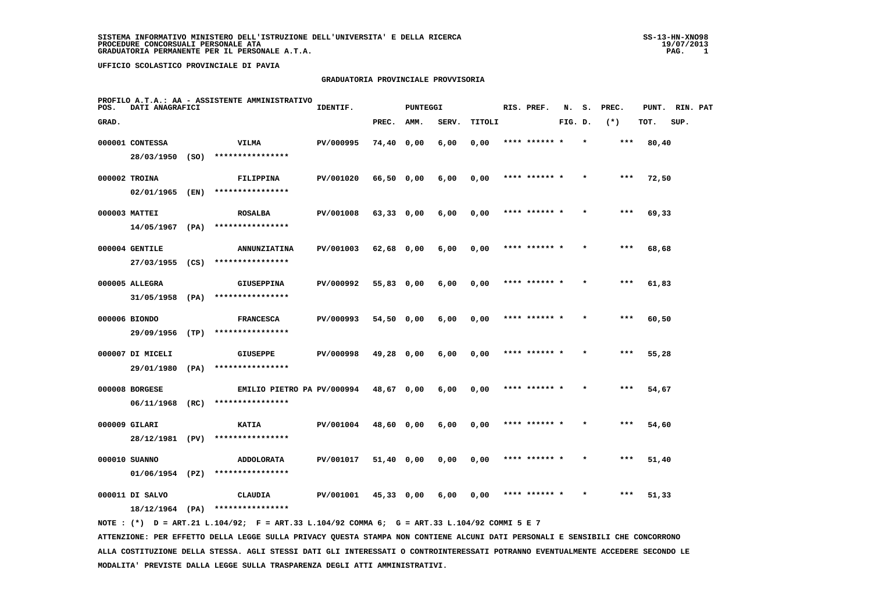#### **GRADUATORIA PROVINCIALE PROVVISORIA**

| POS.  | DATI ANAGRAFICI   |      | PROFILO A.T.A.: AA - ASSISTENTE AMMINISTRATIVO                                                                                  | IDENTIF.  |              | <b>PUNTEGGI</b> |       |        | RIS. PREF.    | N.      | s. | PREC.   | PUNT. | RIN. PAT |  |
|-------|-------------------|------|---------------------------------------------------------------------------------------------------------------------------------|-----------|--------------|-----------------|-------|--------|---------------|---------|----|---------|-------|----------|--|
| GRAD. |                   |      |                                                                                                                                 |           | PREC.        | AMM.            | SERV. | TITOLI |               | FIG. D. |    | $(*)$   | TOT.  | SUP.     |  |
|       | 000001 CONTESSA   |      | <b>VILMA</b>                                                                                                                    | PV/000995 | 74,40 0,00   |                 | 6,00  | 0,00   | **** ******   |         |    | $***$   | 80,40 |          |  |
|       | 28/03/1950 (SO)   |      | ****************                                                                                                                |           |              |                 |       |        |               |         |    |         |       |          |  |
|       | 000002 TROINA     |      | FILIPPINA                                                                                                                       | PV/001020 | 66,50 0,00   |                 | 6,00  | 0,00   |               |         |    | $***$   | 72,50 |          |  |
|       | 02/01/1965        | (EN) | ****************                                                                                                                |           |              |                 |       |        |               |         |    |         |       |          |  |
|       | 000003 MATTEI     |      | <b>ROSALBA</b>                                                                                                                  | PV/001008 | $63,33$ 0,00 |                 | 6,00  | 0,00   | **** ****** * |         |    | $***$   | 69,33 |          |  |
|       | 14/05/1967        | (PA) | ****************                                                                                                                |           |              |                 |       |        |               |         |    |         |       |          |  |
|       | 000004 GENTILE    |      | <b>ANNUNZIATINA</b>                                                                                                             | PV/001003 | 62,68 0,00   |                 | 6,00  | 0,00   |               |         |    | ***     | 68,68 |          |  |
|       | 27/03/1955 (CS)   |      | ****************                                                                                                                |           |              |                 |       |        |               |         |    |         |       |          |  |
|       | 000005 ALLEGRA    |      | <b>GIUSEPPINA</b>                                                                                                               | PV/000992 | 55,83 0,00   |                 | 6,00  | 0,00   | **** ******   |         |    | $***$   | 61,83 |          |  |
|       | 31/05/1958 (PA)   |      | ****************                                                                                                                |           |              |                 |       |        |               |         |    |         |       |          |  |
|       | 000006 BIONDO     |      | <b>FRANCESCA</b>                                                                                                                | PV/000993 | 54,50 0,00   |                 | 6,00  | 0,00   |               |         |    |         | 60,50 |          |  |
|       | 29/09/1956        | (TP) | ****************                                                                                                                |           |              |                 |       |        |               |         |    |         |       |          |  |
|       | 000007 DI MICELI  |      | <b>GIUSEPPE</b>                                                                                                                 | PV/000998 | 49,28 0,00   |                 | 6,00  | 0,00   | **** ****** * |         |    | ***     | 55,28 |          |  |
|       | 29/01/1980        | (PA) | ****************                                                                                                                |           |              |                 |       |        |               |         |    |         |       |          |  |
|       | 000008 BORGESE    |      | EMILIO PIETRO PA PV/000994                                                                                                      |           | 48,67 0,00   |                 | 6,00  | 0,00   | **** ******   |         |    | ***     | 54,67 |          |  |
|       | 06/11/1968 (RC)   |      | ****************                                                                                                                |           |              |                 |       |        |               |         |    |         |       |          |  |
|       | 000009 GILARI     |      | <b>KATIA</b>                                                                                                                    | PV/001004 | 48,60 0,00   |                 | 6,00  | 0,00   | **** ****** * |         |    | ***     | 54,60 |          |  |
|       | 28/12/1981 (PV)   |      | ****************                                                                                                                |           |              |                 |       |        |               |         |    |         |       |          |  |
|       | 000010 SUANNO     |      | <b>ADDOLORATA</b>                                                                                                               | PV/001017 | 51,40 0,00   |                 | 0,00  | 0,00   | **** ****** * |         |    | $* * *$ | 51,40 |          |  |
|       | $01/06/1954$ (PZ) |      | ****************                                                                                                                |           |              |                 |       |        |               |         |    |         |       |          |  |
|       | 000011 DI SALVO   |      | <b>CLAUDIA</b>                                                                                                                  | PV/001001 | $45,33$ 0,00 |                 | 6,00  | 0,00   | **** ****** * |         |    | $***$   | 51,33 |          |  |
|       |                   |      | $18/12/1964$ (PA) *****************                                                                                             |           |              |                 |       |        |               |         |    |         |       |          |  |
|       |                   |      | NOTE: (*) D = ART.21 L.104/92; F = ART.33 L.104/92 COMMA 6; G = ART.33 L.104/92 COMMI 5 E 7                                     |           |              |                 |       |        |               |         |    |         |       |          |  |
|       |                   |      | ATTENZIONE: PER EFFETTO DELLA LEGGE SULLA PRIVACY QUESTA STAMPA NON CONTIENE ALCUNI DATI PERSONALI E SENSIBILI CHE CONCORRONO   |           |              |                 |       |        |               |         |    |         |       |          |  |
|       |                   |      | ALLA COSTITUZIONE DELLA STESSA. AGLI STESSI DATI GLI INTERESSATI O CONTROINTERESSATI POTRANNO EVENTUALMENTE ACCEDERE SECONDO LE |           |              |                 |       |        |               |         |    |         |       |          |  |

 **MODALITA' PREVISTE DALLA LEGGE SULLA TRASPARENZA DEGLI ATTI AMMINISTRATIVI.**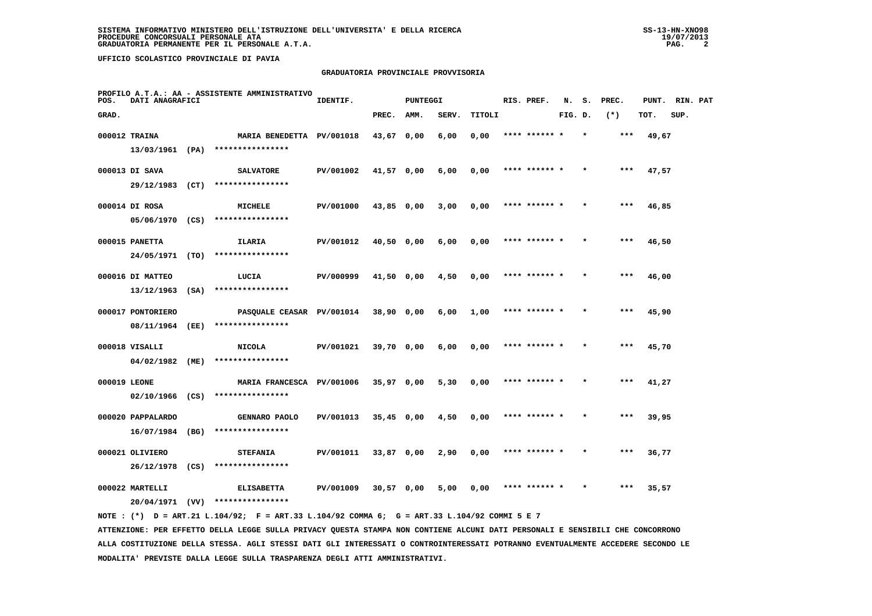## **GRADUATORIA PROVINCIALE PROVVISORIA**

| POS.         | DATI ANAGRAFICI   |      | PROFILO A.T.A.: AA - ASSISTENTE AMMINISTRATIVO                                              | IDENTIF.  |              | PUNTEGGI |       |        | RIS. PREF.    | N.      | s. | PREC. |       | PUNT. RIN. PAT |  |
|--------------|-------------------|------|---------------------------------------------------------------------------------------------|-----------|--------------|----------|-------|--------|---------------|---------|----|-------|-------|----------------|--|
| GRAD.        |                   |      |                                                                                             |           | PREC.        | AMM.     | SERV. | TITOLI |               | FIG. D. |    | $(*)$ | TOT.  | SUP.           |  |
|              | 000012 TRAINA     |      | MARIA BENEDETTA PV/001018                                                                   |           | 43,67 0,00   |          | 6,00  | 0,00   | **** ****** * |         |    | ***   | 49,67 |                |  |
|              | 13/03/1961 (PA)   |      | ****************                                                                            |           |              |          |       |        |               |         |    |       |       |                |  |
|              | 000013 DI SAVA    |      | <b>SALVATORE</b>                                                                            | PV/001002 | 41,57 0,00   |          | 6,00  | 0,00   | **** ****** * |         |    |       | 47,57 |                |  |
|              | 29/12/1983 (CT)   |      | ****************                                                                            |           |              |          |       |        |               |         |    |       |       |                |  |
|              | 000014 DI ROSA    |      | <b>MICHELE</b>                                                                              | PV/001000 | 43,85 0,00   |          | 3,00  | 0,00   | **** ****** * |         |    | ***   | 46,85 |                |  |
|              |                   |      | $05/06/1970$ (CS) ****************                                                          |           |              |          |       |        |               |         |    |       |       |                |  |
|              | 000015 PANETTA    |      | ILARIA                                                                                      | PV/001012 | 40,50 0,00   |          | 6,00  | 0,00   | **** ****** * |         |    | ***   | 46,50 |                |  |
|              | 24/05/1971 (TO)   |      | ****************                                                                            |           |              |          |       |        |               |         |    |       |       |                |  |
|              | 000016 DI MATTEO  |      | LUCIA                                                                                       | PV/000999 | 41,50 0,00   |          | 4,50  | 0,00   | **** ****** * |         |    | $***$ | 46,00 |                |  |
|              | 13/12/1963        | (SA) | ****************                                                                            |           |              |          |       |        |               |         |    |       |       |                |  |
|              | 000017 PONTORIERO |      | PASQUALE CEASAR PV/001014                                                                   |           | 38,90 0,00   |          | 6,00  | 1,00   | **** ****** * |         |    | ***   | 45,90 |                |  |
|              | 08/11/1964 (EE)   |      | ****************                                                                            |           |              |          |       |        |               |         |    |       |       |                |  |
|              | 000018 VISALLI    |      | <b>NICOLA</b>                                                                               | PV/001021 | 39,70 0,00   |          | 6,00  | 0,00   | **** ****** * |         |    | ***   | 45,70 |                |  |
|              | 04/02/1982        | (ME) | ****************                                                                            |           |              |          |       |        |               |         |    |       |       |                |  |
| 000019 LEONE |                   |      | MARIA FRANCESCA PV/001006                                                                   |           | $35,97$ 0,00 |          | 5,30  | 0,00   | **** ****** * |         |    | $***$ | 41,27 |                |  |
|              | $02/10/1966$ (CS) |      | ****************                                                                            |           |              |          |       |        |               |         |    |       |       |                |  |
|              | 000020 PAPPALARDO |      | GENNARO PAOLO                                                                               | PV/001013 | $35,45$ 0,00 |          | 4,50  | 0,00   | **** ****** * |         |    | $***$ | 39,95 |                |  |
|              | 16/07/1984 (BG)   |      | ****************                                                                            |           |              |          |       |        |               |         |    |       |       |                |  |
|              | 000021 OLIVIERO   |      | <b>STEFANIA</b>                                                                             | PV/001011 | 33,87 0,00   |          | 2,90  | 0,00   |               |         |    | $***$ | 36,77 |                |  |
|              | 26/12/1978 (CS)   |      | ****************                                                                            |           |              |          |       |        |               |         |    |       |       |                |  |
|              | 000022 MARTELLI   |      | <b>ELISABETTA</b>                                                                           | PV/001009 | $30,57$ 0,00 |          | 5,00  | 0,00   | **** ****** * |         |    | ***   | 35,57 |                |  |
|              |                   |      | $20/04/1971$ (VV) *****************                                                         |           |              |          |       |        |               |         |    |       |       |                |  |
|              |                   |      | NOTE: (*) D = ART.21 L.104/92; F = ART.33 L.104/92 COMMA 6; G = ART.33 L.104/92 COMMI 5 E 7 |           |              |          |       |        |               |         |    |       |       |                |  |

 **ATTENZIONE: PER EFFETTO DELLA LEGGE SULLA PRIVACY QUESTA STAMPA NON CONTIENE ALCUNI DATI PERSONALI E SENSIBILI CHE CONCORRONO ALLA COSTITUZIONE DELLA STESSA. AGLI STESSI DATI GLI INTERESSATI O CONTROINTERESSATI POTRANNO EVENTUALMENTE ACCEDERE SECONDO LE MODALITA' PREVISTE DALLA LEGGE SULLA TRASPARENZA DEGLI ATTI AMMINISTRATIVI.**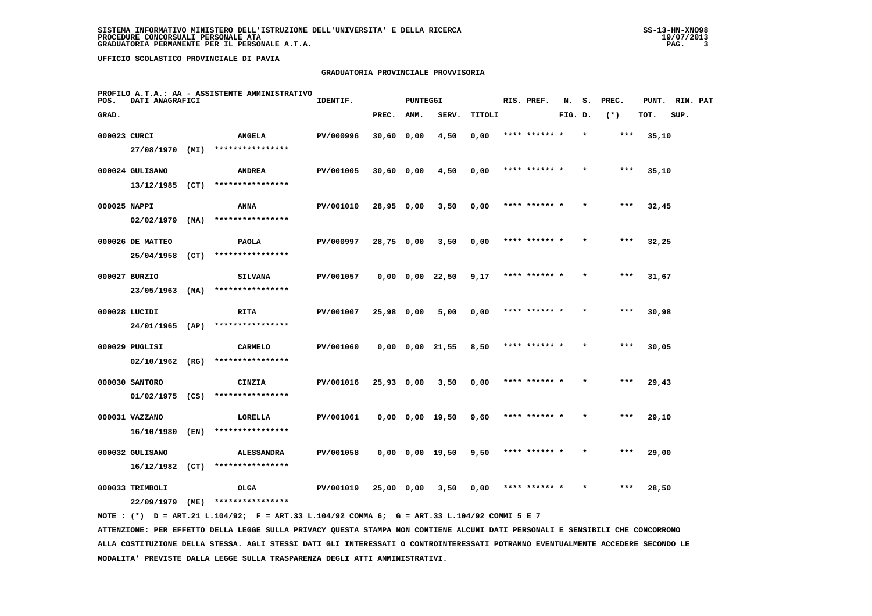# **GRADUATORIA PROVINCIALE PROVVISORIA**

| POS.         | DATI ANAGRAFICI   |      | PROFILO A.T.A.: AA - ASSISTENTE AMMINISTRATIVO | IDENTIF.  |            | <b>PUNTEGGI</b> |                       |        | RIS. PREF.    | N.      | s.      | PREC. | PUNT. | RIN. PAT |  |
|--------------|-------------------|------|------------------------------------------------|-----------|------------|-----------------|-----------------------|--------|---------------|---------|---------|-------|-------|----------|--|
| GRAD.        |                   |      |                                                |           | PREC.      | AMM.            | SERV.                 | TITOLI |               | FIG. D. |         | $(*)$ | TOT.  | SUP.     |  |
| 000023 CURCI |                   |      | <b>ANGELA</b>                                  | PV/000996 | 30,60 0,00 |                 | 4,50                  | 0,00   | **** ******   |         |         | ***   | 35,10 |          |  |
|              | 27/08/1970 (MI)   |      | ****************                               |           |            |                 |                       |        |               |         |         |       |       |          |  |
|              | 000024 GULISANO   |      | <b>ANDREA</b>                                  | PV/001005 | 30,60 0,00 |                 | 4,50                  | 0,00   | **** ****** * |         |         | ***   | 35,10 |          |  |
|              | $13/12/1985$ (CT) |      | ****************                               |           |            |                 |                       |        |               |         |         |       |       |          |  |
| 000025 NAPPI |                   |      | <b>ANNA</b>                                    | PV/001010 | 28,95 0,00 |                 | 3,50                  | 0,00   | **** ****** * |         |         | ***   | 32,45 |          |  |
|              | 02/02/1979        | (NA) | ****************                               |           |            |                 |                       |        |               |         |         |       |       |          |  |
|              | 000026 DE MATTEO  |      | <b>PAOLA</b>                                   | PV/000997 | 28,75 0,00 |                 | 3,50                  | 0,00   | **** ****** * |         |         | $***$ | 32,25 |          |  |
|              | 25/04/1958        | (CT) | ****************                               |           |            |                 |                       |        |               |         |         |       |       |          |  |
|              | 000027 BURZIO     |      | <b>SILVANA</b>                                 | PV/001057 |            |                 | $0,00$ $0,00$ $22,50$ | 9,17   | **** ****** * |         |         | ***   | 31,67 |          |  |
|              | 23/05/1963        | (NA) | ****************                               |           |            |                 |                       |        |               |         |         |       |       |          |  |
|              | 000028 LUCIDI     |      | <b>RITA</b>                                    | PV/001007 | 25,98 0,00 |                 | 5,00                  | 0,00   | **** ****** * |         |         | $***$ | 30,98 |          |  |
|              | 24/01/1965 (AP)   |      | ****************                               |           |            |                 |                       |        |               |         |         |       |       |          |  |
|              | 000029 PUGLISI    |      | <b>CARMELO</b>                                 | PV/001060 |            |                 | $0,00$ $0,00$ $21,55$ | 8,50   |               |         |         | ***   | 30,05 |          |  |
|              | $02/10/1962$ (RG) |      | ****************                               |           |            |                 |                       |        |               |         |         |       |       |          |  |
|              | 000030 SANTORO    |      | CINZIA                                         | PV/001016 | 25,93 0,00 |                 | 3,50                  | 0,00   | **** ****** * |         |         | $***$ | 29,43 |          |  |
|              | $01/02/1975$ (CS) |      | ****************                               |           |            |                 |                       |        |               |         |         |       |       |          |  |
|              | 000031 VAZZANO    |      | LORELLA                                        | PV/001061 |            |                 | $0,00$ $0,00$ $19,50$ | 9,60   | **** ****** * |         | $\star$ | ***   | 29,10 |          |  |
|              | 16/10/1980        | (EN) | ****************                               |           |            |                 |                       |        |               |         |         |       |       |          |  |
|              | 000032 GULISANO   |      | <b>ALESSANDRA</b>                              | PV/001058 |            |                 | $0,00$ $0,00$ $19,50$ | 9,50   | **** ****** * |         |         | ***   | 29,00 |          |  |
|              | $16/12/1982$ (CT) |      | ****************                               |           |            |                 |                       |        |               |         |         |       |       |          |  |
|              | 000033 TRIMBOLI   |      | <b>OLGA</b>                                    | PV/001019 | 25,00 0,00 |                 | 3,50                  | 0,00   | **** ****** * |         |         | $***$ | 28,50 |          |  |
|              | 22/09/1979        | (ME) | ****************                               |           |            |                 |                       |        |               |         |         |       |       |          |  |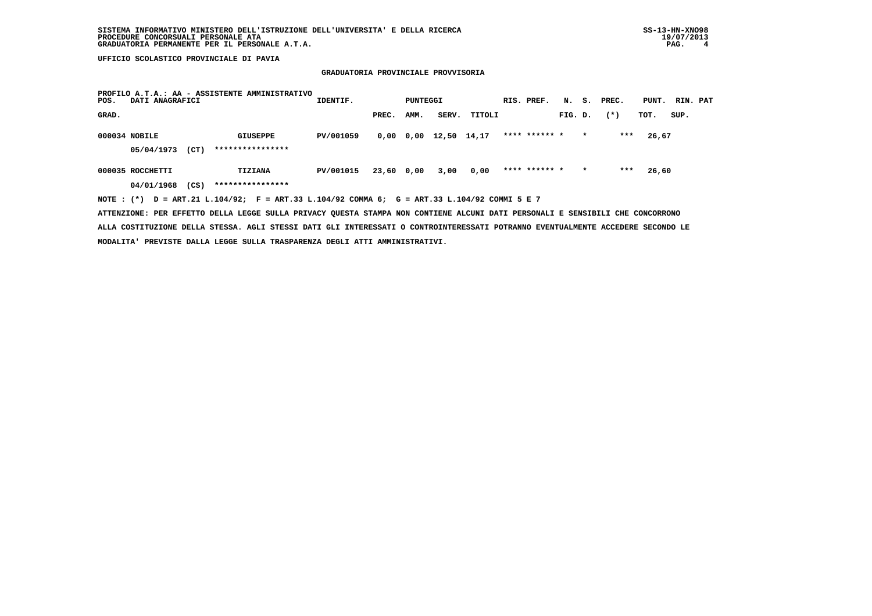# **GRADUATORIA PROVINCIALE PROVVISORIA**

| POS.  | DATI ANAGRAFICI  |      | PROFILO A.T.A.: AA - ASSISTENTE AMMINISTRATIVO                                              | IDENTIF.  |            | PUNTEGGI |             |        | RIS. PREF.    |         |         | N. S. PREC. | PUNT. RIN. PAT |      |  |
|-------|------------------|------|---------------------------------------------------------------------------------------------|-----------|------------|----------|-------------|--------|---------------|---------|---------|-------------|----------------|------|--|
| GRAD. |                  |      |                                                                                             |           | PREC.      | AMM.     | SERV.       | TITOLI |               | FIG. D. |         | $(*)$       | TOT.           | SUP. |  |
|       | 000034 NOBILE    |      | GIUSEPPE                                                                                    | PV/001059 | 0,00 0,00  |          | 12,50 14,17 |        | **** ****** * |         | $\star$ | ***         | 26,67          |      |  |
|       | 05/04/1973       | (CT) | ****************                                                                            |           |            |          |             |        |               |         |         |             |                |      |  |
|       | 000035 ROCCHETTI |      | TIZIANA                                                                                     | PV/001015 | 23,60 0,00 |          | 3,00        | 0,00   | **** ****** * |         | $\star$ | ***         | 26,60          |      |  |
|       | 04/01/1968       | (CS) | ****************                                                                            |           |            |          |             |        |               |         |         |             |                |      |  |
|       |                  |      | NOTE: (*) D = ART.21 L.104/92; F = ART.33 L.104/92 COMMA 6; G = ART.33 L.104/92 COMMI 5 E 7 |           |            |          |             |        |               |         |         |             |                |      |  |

 **ATTENZIONE: PER EFFETTO DELLA LEGGE SULLA PRIVACY QUESTA STAMPA NON CONTIENE ALCUNI DATI PERSONALI E SENSIBILI CHE CONCORRONO ALLA COSTITUZIONE DELLA STESSA. AGLI STESSI DATI GLI INTERESSATI O CONTROINTERESSATI POTRANNO EVENTUALMENTE ACCEDERE SECONDO LE MODALITA' PREVISTE DALLA LEGGE SULLA TRASPARENZA DEGLI ATTI AMMINISTRATIVI.**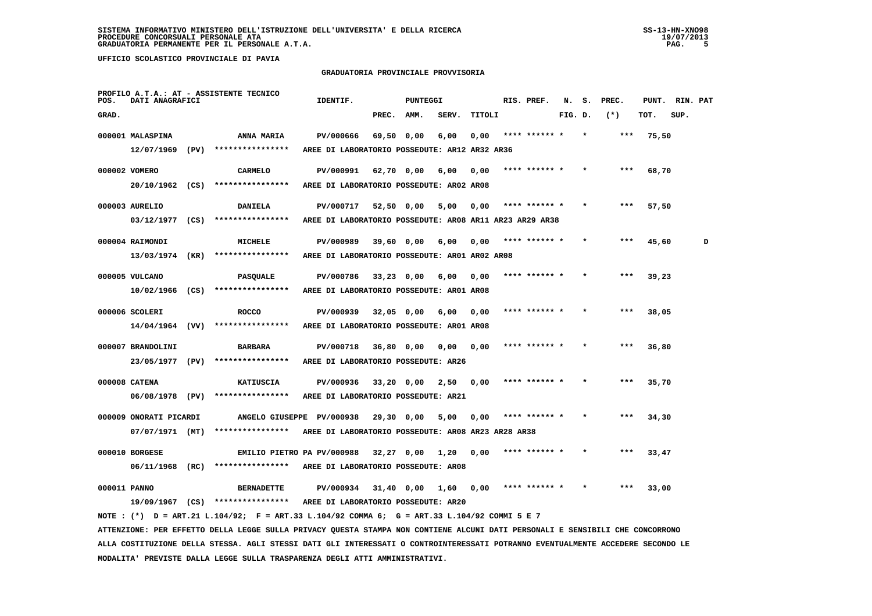**MODALITA' PREVISTE DALLA LEGGE SULLA TRASPARENZA DEGLI ATTI AMMINISTRATIVI.**

 **UFFICIO SCOLASTICO PROVINCIALE DI PAVIA**

### **GRADUATORIA PROVINCIALE PROVVISORIA**

| POS.         | DATI ANAGRAFICI                   | PROFILO A.T.A.: AT - ASSISTENTE TECNICO                                                                                         | IDENTIF.                                                |              | PUNTEGGI |       |        | RIS. PREF.    | N.      | s. | PREC. | PUNT. | RIN. PAT |   |
|--------------|-----------------------------------|---------------------------------------------------------------------------------------------------------------------------------|---------------------------------------------------------|--------------|----------|-------|--------|---------------|---------|----|-------|-------|----------|---|
| GRAD.        |                                   |                                                                                                                                 |                                                         | PREC.        | AMM.     | SERV. | TITOLI |               | FIG. D. |    | $(*)$ | TOT.  | SUP.     |   |
|              | 000001 MALASPINA                  | ANNA MARIA                                                                                                                      | PV/000666                                               | 69,50 0,00   |          | 6,00  | 0,00   | **** ****** * |         |    | ***   | 75,50 |          |   |
|              | 12/07/1969 (PV)                   | ****************                                                                                                                | AREE DI LABORATORIO POSSEDUTE: AR12 AR32 AR36           |              |          |       |        |               |         |    |       |       |          |   |
|              | 000002 VOMERO                     | <b>CARMELO</b>                                                                                                                  | PV/000991                                               | 62,70 0,00   |          | 6,00  | 0,00   | **** ****** * |         |    | ***   | 68,70 |          |   |
|              | 20/10/1962 (CS)                   | ****************                                                                                                                | AREE DI LABORATORIO POSSEDUTE: AR02 AR08                |              |          |       |        |               |         |    |       |       |          |   |
|              | 000003 AURELIO                    | <b>DANIELA</b>                                                                                                                  | PV/000717                                               | 52,50 0,00   |          | 5,00  | 0,00   | **** ****** * |         |    | ***   | 57,50 |          |   |
|              | $03/12/1977$ (CS)                 | ****************                                                                                                                | AREE DI LABORATORIO POSSEDUTE: AR08 AR11 AR23 AR29 AR38 |              |          |       |        |               |         |    |       |       |          |   |
|              | 000004 RAIMONDI                   | <b>MICHELE</b>                                                                                                                  | PV/000989                                               | 39,60 0,00   |          | 6,00  | 0,00   |               |         |    |       | 45,60 |          | D |
|              | 13/03/1974 (KR)                   | ****************                                                                                                                | AREE DI LABORATORIO POSSEDUTE: AR01 AR02 AR08           |              |          |       |        |               |         |    |       |       |          |   |
|              | 000005 VULCANO                    | PASQUALE                                                                                                                        | PV/000786                                               | $33,23$ 0,00 |          | 6,00  | 0,00   |               |         |    |       | 39,23 |          |   |
|              |                                   | $10/02/1966$ (CS) ****************                                                                                              | AREE DI LABORATORIO POSSEDUTE: AR01 AR08                |              |          |       |        |               |         |    |       |       |          |   |
|              | 000006 SCOLERI                    | <b>ROCCO</b>                                                                                                                    | PV/000939                                               | 32,05 0,00   |          | 6,00  | 0,00   |               |         |    |       | 38,05 |          |   |
|              | $14/04/1964$ (VV)                 | ****************                                                                                                                | AREE DI LABORATORIO POSSEDUTE: AR01 AR08                |              |          |       |        |               |         |    |       |       |          |   |
|              | 000007 BRANDOLINI                 | <b>BARBARA</b>                                                                                                                  | PV/000718                                               | 36,80 0,00   |          | 0,00  | 0,00   |               |         |    |       | 36,80 |          |   |
|              | 23/05/1977 (PV)                   | ****************                                                                                                                | AREE DI LABORATORIO POSSEDUTE: AR26                     |              |          |       |        |               |         |    |       |       |          |   |
|              | 000008 CATENA                     | <b>KATIUSCIA</b>                                                                                                                | PV/000936                                               | $33,20$ 0,00 |          | 2,50  | 0,00   |               |         |    |       | 35,70 |          |   |
|              | 06/08/1978 (PV)                   | ****************                                                                                                                | AREE DI LABORATORIO POSSEDUTE: AR21                     |              |          |       |        |               |         |    |       |       |          |   |
|              | 000009 ONORATI PICARDI            | ANGELO GIUSEPPE PV/000938                                                                                                       |                                                         | 29,30 0,00   |          | 5,00  | 0,00   | **** ****** * |         |    | ***   | 34,30 |          |   |
|              | $07/07/1971$ (MT)                 | ****************                                                                                                                | AREE DI LABORATORIO POSSEDUTE: AR08 AR23 AR28 AR38      |              |          |       |        |               |         |    |       |       |          |   |
|              |                                   |                                                                                                                                 |                                                         |              |          |       |        |               |         |    |       |       |          |   |
|              | 000010 BORGESE<br>06/11/1968 (RC) | EMILIO PIETRO PA PV/000988<br>****************                                                                                  | AREE DI LABORATORIO POSSEDUTE: AR08                     | 32,27 0,00   |          | 1,20  | 0,00   |               |         |    |       | 33,47 |          |   |
|              |                                   |                                                                                                                                 |                                                         |              |          |       |        |               |         |    |       |       |          |   |
| 000011 PANNO |                                   | <b>BERNADETTE</b><br>19/09/1967 (CS) ****************                                                                           | PV/000934<br>AREE DI LABORATORIO POSSEDUTE: AR20        | $31,40$ 0,00 |          | 1,60  | 0,00   | **** ****** * |         |    |       | 33,00 |          |   |
|              |                                   | NOTE : (*) D = ART.21 L.104/92; F = ART.33 L.104/92 COMMA 6; G = ART.33 L.104/92 COMMI 5 E 7                                    |                                                         |              |          |       |        |               |         |    |       |       |          |   |
|              |                                   | ATTENZIONE: PER EFFETTO DELLA LEGGE SULLA PRIVACY QUESTA STAMPA NON CONTIENE ALCUNI DATI PERSONALI E SENSIBILI CHE CONCORRONO   |                                                         |              |          |       |        |               |         |    |       |       |          |   |
|              |                                   | ALLA COSTITUZIONE DELLA STESSA. AGLI STESSI DATI GLI INTERESSATI O CONTROINTERESSATI POTRANNO EVENTUALMENTE ACCEDERE SECONDO LE |                                                         |              |          |       |        |               |         |    |       |       |          |   |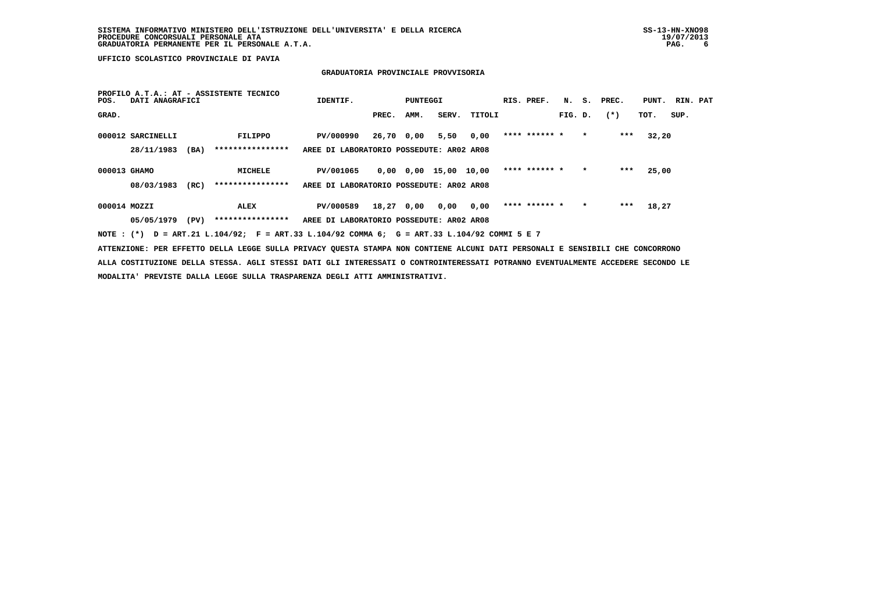## **GRADUATORIA PROVINCIALE PROVVISORIA**

| POS.         | DATI ANAGRAFICI   |      | PROFILO A.T.A.: AT - ASSISTENTE TECNICO                                                     | IDENTIF.                                 |            | PUNTEGGI |                       |        | RIS. PREF.    |         |         | N. S. PREC. | PUNT. RIN. PAT |      |  |
|--------------|-------------------|------|---------------------------------------------------------------------------------------------|------------------------------------------|------------|----------|-----------------------|--------|---------------|---------|---------|-------------|----------------|------|--|
| GRAD.        |                   |      |                                                                                             |                                          | PREC.      | AMM.     | SERV.                 | TITOLI |               | FIG. D. |         | $(*)$       | TOT.           | SUP. |  |
|              | 000012 SARCINELLI |      | FILIPPO                                                                                     | PV/000990                                | 26,70 0,00 |          | 5,50                  | 0,00   | **** ****** * |         | $\star$ | ***         | 32,20          |      |  |
|              | 28/11/1983        | (BA) | ****************                                                                            | AREE DI LABORATORIO POSSEDUTE: AR02 AR08 |            |          |                       |        |               |         |         |             |                |      |  |
| 000013 GHAMO |                   |      | MICHELE                                                                                     | PV/001065                                |            |          | 0,00 0,00 15,00 10,00 |        | **** ****** * |         | $\star$ | ***         | 25,00          |      |  |
|              | 08/03/1983        | (RC) | ****************                                                                            | AREE DI LABORATORIO POSSEDUTE: AR02 AR08 |            |          |                       |        |               |         |         |             |                |      |  |
| 000014 MOZZI |                   |      | ALEX                                                                                        | PV/000589                                | 18,27 0,00 |          | 0,00                  | 0,00   | **** ****** * |         | $\star$ | ***         | 18,27          |      |  |
|              | 05/05/1979        | (PV) | ****************                                                                            | AREE DI LABORATORIO POSSEDUTE: AR02 AR08 |            |          |                       |        |               |         |         |             |                |      |  |
|              |                   |      | NOTE: (*) D = ART.21 L.104/92; F = ART.33 L.104/92 COMMA 6; G = ART.33 L.104/92 COMMI 5 E 7 |                                          |            |          |                       |        |               |         |         |             |                |      |  |

 **ATTENZIONE: PER EFFETTO DELLA LEGGE SULLA PRIVACY QUESTA STAMPA NON CONTIENE ALCUNI DATI PERSONALI E SENSIBILI CHE CONCORRONO ALLA COSTITUZIONE DELLA STESSA. AGLI STESSI DATI GLI INTERESSATI O CONTROINTERESSATI POTRANNO EVENTUALMENTE ACCEDERE SECONDO LE MODALITA' PREVISTE DALLA LEGGE SULLA TRASPARENZA DEGLI ATTI AMMINISTRATIVI.**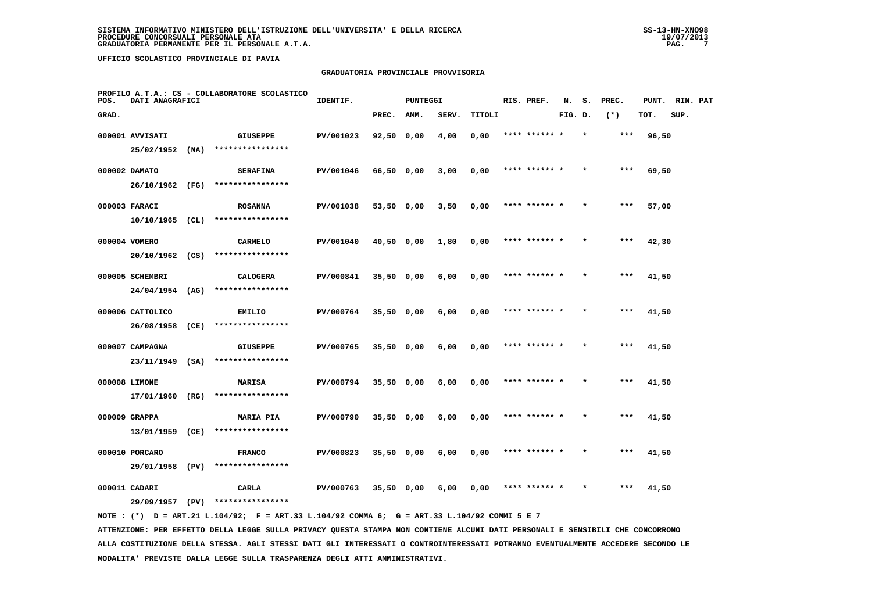## **GRADUATORIA PROVINCIALE PROVVISORIA**

| POS.  | DATI ANAGRAFICI   |      | PROFILO A.T.A.: CS - COLLABORATORE SCOLASTICO | IDENTIF.  |              | <b>PUNTEGGI</b> |       |        | RIS. PREF.    | N.      | s.      | PREC. | PUNT. | RIN. PAT |  |
|-------|-------------------|------|-----------------------------------------------|-----------|--------------|-----------------|-------|--------|---------------|---------|---------|-------|-------|----------|--|
| GRAD. |                   |      |                                               |           | PREC.        | AMM.            | SERV. | TITOLI |               | FIG. D. |         | $(*)$ | TOT.  | SUP.     |  |
|       | 000001 AVVISATI   |      | <b>GIUSEPPE</b>                               | PV/001023 | 92,50 0,00   |                 | 4,00  | 0,00   |               |         |         | ***   | 96,50 |          |  |
|       | 25/02/1952        | (NA) | ****************                              |           |              |                 |       |        |               |         |         |       |       |          |  |
|       | 000002 DAMATO     |      | <b>SERAFINA</b>                               | PV/001046 | 66,50 0,00   |                 | 3,00  | 0,00   | **** ****** * |         |         | ***   | 69,50 |          |  |
|       | 26/10/1962 (FG)   |      | ****************                              |           |              |                 |       |        |               |         |         |       |       |          |  |
|       | 000003 FARACI     |      | <b>ROSANNA</b>                                | PV/001038 | 53,50 0,00   |                 | 3,50  | 0,00   | **** ****** * |         | $\star$ | ***   | 57,00 |          |  |
|       | 10/10/1965        | (CL) | ****************                              |           |              |                 |       |        |               |         |         |       |       |          |  |
|       | 000004 VOMERO     |      | <b>CARMELO</b>                                | PV/001040 | $40,50$ 0,00 |                 | 1,80  | 0,00   | **** ****** * |         |         | ***   | 42,30 |          |  |
|       | 20/10/1962 (CS)   |      | ****************                              |           |              |                 |       |        |               |         |         |       |       |          |  |
|       | 000005 SCHEMBRI   |      | <b>CALOGERA</b>                               | PV/000841 | $35,50$ 0,00 |                 | 6,00  | 0,00   | **** ****** * |         |         | ***   | 41,50 |          |  |
|       | $24/04/1954$ (AG) |      | ****************                              |           |              |                 |       |        |               |         |         |       |       |          |  |
|       | 000006 CATTOLICO  |      | <b>EMILIO</b>                                 | PV/000764 | $35,50$ 0,00 |                 | 6,00  | 0,00   | **** ****** * |         |         | $***$ | 41,50 |          |  |
|       | 26/08/1958        | (CE) | ****************                              |           |              |                 |       |        |               |         |         |       |       |          |  |
|       | 000007 CAMPAGNA   |      | <b>GIUSEPPE</b>                               | PV/000765 | $35,50$ 0,00 |                 | 6,00  | 0,00   |               |         |         |       | 41,50 |          |  |
|       | 23/11/1949        | (SA) | ****************                              |           |              |                 |       |        |               |         |         |       |       |          |  |
|       | 000008 LIMONE     |      | <b>MARISA</b>                                 | PV/000794 | $35,50$ 0,00 |                 | 6,00  | 0,00   | **** ****** * |         |         | $***$ | 41,50 |          |  |
|       | 17/01/1960        | (RG) | ****************                              |           |              |                 |       |        |               |         |         |       |       |          |  |
|       | 000009 GRAPPA     |      | <b>MARIA PIA</b>                              | PV/000790 | $35,50$ 0,00 |                 | 6,00  | 0,00   | **** ****** * |         | $\star$ | $***$ | 41,50 |          |  |
|       | 13/01/1959        | (CE) | ****************                              |           |              |                 |       |        |               |         |         |       |       |          |  |
|       | 000010 PORCARO    |      | <b>FRANCO</b>                                 | PV/000823 | $35,50$ 0,00 |                 | 6,00  | 0,00   | **** ****** * |         |         | ***   | 41,50 |          |  |
|       | 29/01/1958 (PV)   |      | ****************                              |           |              |                 |       |        |               |         |         |       |       |          |  |
|       | 000011 CADARI     |      | CARLA                                         | PV/000763 | $35,50$ 0,00 |                 | 6,00  | 0,00   | **** ****** * |         |         | ***   | 41,50 |          |  |
|       | 29/09/1957        | (PV) | ****************                              |           |              |                 |       |        |               |         |         |       |       |          |  |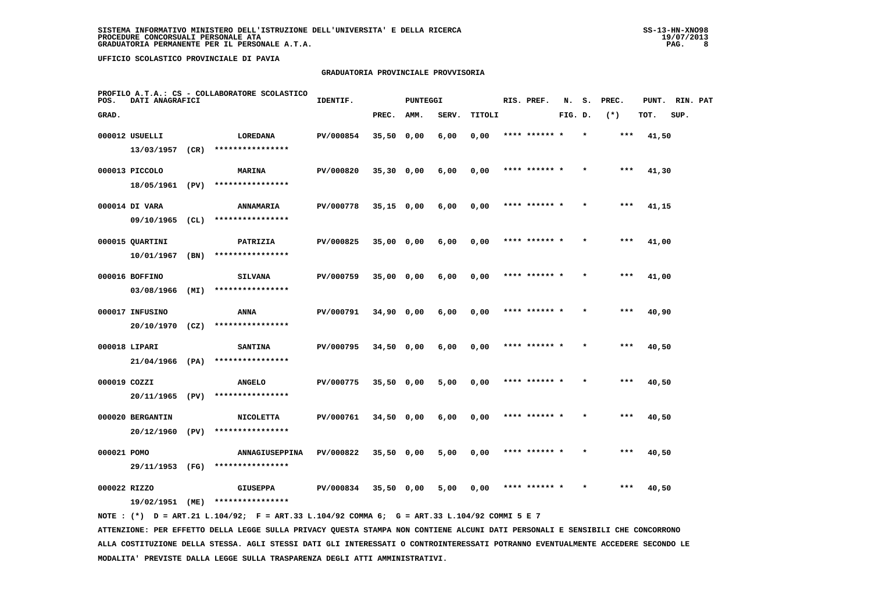## **GRADUATORIA PROVINCIALE PROVVISORIA**

| POS.        | DATI ANAGRAFICI   |      | PROFILO A.T.A.: CS - COLLABORATORE SCOLASTICO | IDENTIF.  |              | <b>PUNTEGGI</b> |       |        |      | RIS. PREF.    | N.      | s.      | PREC.  | PUNT. | RIN. PAT |  |
|-------------|-------------------|------|-----------------------------------------------|-----------|--------------|-----------------|-------|--------|------|---------------|---------|---------|--------|-------|----------|--|
| GRAD.       |                   |      |                                               |           | PREC.        | AMM.            | SERV. | TITOLI |      |               | FIG. D. |         | $(* )$ | TOT.  | SUP.     |  |
|             | 000012 USUELLI    |      | LOREDANA                                      | PV/000854 | $35,50$ 0,00 |                 | 6,00  | 0,00   |      | **** ****** * |         |         | ***    | 41,50 |          |  |
|             | 13/03/1957 (CR)   |      | ****************                              |           |              |                 |       |        |      |               |         |         |        |       |          |  |
|             | 000013 PICCOLO    |      | MARINA                                        | PV/000820 | $35,30$ 0,00 |                 | 6,00  | 0,00   |      | **** ****** * |         |         | ***    | 41,30 |          |  |
|             | 18/05/1961 (PV)   |      | ****************                              |           |              |                 |       |        |      |               |         |         |        |       |          |  |
|             | 000014 DI VARA    |      | <b>ANNAMARIA</b>                              | PV/000778 | $35,15$ 0,00 |                 | 6,00  | 0,00   | **** |               |         |         | $***$  | 41,15 |          |  |
|             | 09/10/1965        | (CL) | ****************                              |           |              |                 |       |        |      |               |         |         |        |       |          |  |
|             | 000015 QUARTINI   |      | PATRIZIA                                      | PV/000825 | 35,00 0,00   |                 | 6,00  | 0,00   |      | **** ****** * |         |         | $***$  | 41,00 |          |  |
|             | 10/01/1967        | (BN) | ****************                              |           |              |                 |       |        |      |               |         |         |        |       |          |  |
|             | 000016 BOFFINO    |      | <b>SILVANA</b>                                | PV/000759 | 35,00 0,00   |                 | 6,00  | 0,00   |      | **** ****** * |         |         | $***$  | 41,00 |          |  |
|             | 03/08/1966        | (MI) | ****************                              |           |              |                 |       |        |      |               |         |         |        |       |          |  |
|             | 000017 INFUSINO   |      | ANNA                                          | PV/000791 | 34,90 0,00   |                 | 6,00  | 0,00   |      | **** ****** * |         | $\star$ | $***$  | 40,90 |          |  |
|             | $20/10/1970$ (CZ) |      | ****************                              |           |              |                 |       |        |      |               |         |         |        |       |          |  |
|             | 000018 LIPARI     |      | <b>SANTINA</b>                                | PV/000795 | $34,50$ 0,00 |                 | 6,00  | 0,00   |      |               |         |         |        | 40,50 |          |  |
|             | $21/04/1966$ (PA) |      | ****************                              |           |              |                 |       |        |      |               |         |         |        |       |          |  |
|             | 000019 COZZI      |      | <b>ANGELO</b>                                 | PV/000775 | $35,50$ 0,00 |                 | 5,00  | 0,00   |      | **** ****** * |         |         | ***    | 40,50 |          |  |
|             | 20/11/1965        | (PV) | ****************                              |           |              |                 |       |        |      |               |         |         |        |       |          |  |
|             | 000020 BERGANTIN  |      | <b>NICOLETTA</b>                              | PV/000761 | $34,50$ 0,00 |                 | 6,00  | 0,00   |      | **** ****** * |         |         | $***$  | 40,50 |          |  |
|             | 20/12/1960        | (PV) | ****************                              |           |              |                 |       |        |      |               |         |         |        |       |          |  |
| 000021 POMO |                   |      | ANNAGIUSEPPINA                                | PV/000822 | 35,50 0,00   |                 | 5,00  | 0,00   |      | **** ****** * |         |         | $***$  | 40,50 |          |  |
|             | 29/11/1953 (FG)   |      | ****************                              |           |              |                 |       |        |      |               |         |         |        |       |          |  |
|             | 000022 RIZZO      |      | <b>GIUSEPPA</b>                               | PV/000834 | $35,50$ 0,00 |                 | 5,00  | 0,00   |      |               |         |         | ***    | 40,50 |          |  |
|             | 19/02/1951        | (ME) | ****************                              |           |              |                 |       |        |      |               |         |         |        |       |          |  |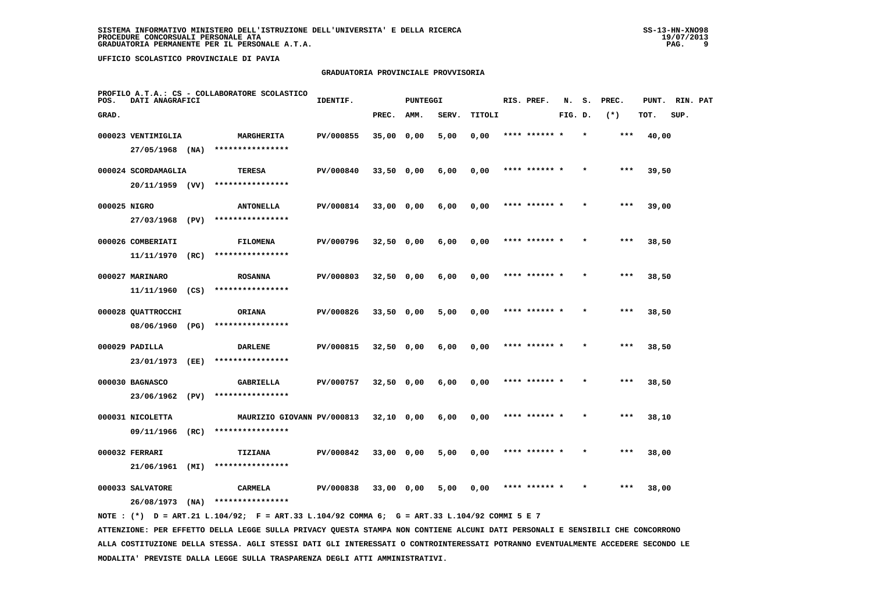## **GRADUATORIA PROVINCIALE PROVVISORIA**

| POS.         | DATI ANAGRAFICI               |      | PROFILO A.T.A.: CS - COLLABORATORE SCOLASTICO | IDENTIF.  |              | PUNTEGGI |       |        | RIS. PREF.    | N.      | s.     | PREC.  | PUNT. | RIN. PAT |  |
|--------------|-------------------------------|------|-----------------------------------------------|-----------|--------------|----------|-------|--------|---------------|---------|--------|--------|-------|----------|--|
| GRAD.        |                               |      |                                               |           | PREC.        | AMM.     | SERV. | TITOLI |               | FIG. D. |        | $(* )$ | TOT.  | SUP.     |  |
|              | 000023 VENTIMIGLIA            |      | MARGHERITA                                    | PV/000855 | 35,00 0,00   |          | 5,00  | 0,00   | **** ****** * |         | $\ast$ | $***$  | 40,00 |          |  |
|              | 27/05/1968 (NA)               |      | ****************                              |           |              |          |       |        |               |         |        |        |       |          |  |
|              | 000024 SCORDAMAGLIA           |      | <b>TERESA</b>                                 | PV/000840 | 33,50 0,00   |          | 6,00  | 0,00   |               |         |        | ***    | 39,50 |          |  |
|              | $20/11/1959$ (VV)             |      | ****************                              |           |              |          |       |        |               |         |        |        |       |          |  |
| 000025 NIGRO |                               |      | <b>ANTONELLA</b>                              | PV/000814 | $33,00$ 0,00 |          | 6,00  | 0,00   | **** ****** * |         |        | $***$  | 39,00 |          |  |
|              | 27/03/1968                    | (PV) | ****************                              |           |              |          |       |        |               |         |        |        |       |          |  |
|              | 000026 COMBERIATI             |      | <b>FILOMENA</b>                               | PV/000796 | $32,50$ 0,00 |          | 6,00  | 0,00   | **** ******   |         |        | $***$  | 38,50 |          |  |
|              | 11/11/1970                    | (RC) | ****************                              |           |              |          |       |        |               |         |        |        |       |          |  |
|              | 000027 MARINARO               |      | <b>ROSANNA</b>                                | PV/000803 | $32,50$ 0,00 |          | 6,00  | 0,00   | **** ****** * |         |        | $***$  | 38,50 |          |  |
|              | 11/11/1960                    | (CS) | ****************                              |           |              |          |       |        |               |         |        |        |       |          |  |
|              | 000028 QUATTROCCHI            |      | <b>ORIANA</b><br>****************             | PV/000826 | 33,50 0,00   |          | 5,00  | 0,00   | **** ****** * |         |        | $***$  | 38,50 |          |  |
|              | 08/06/1960 (PG)               |      |                                               |           |              |          |       |        |               |         |        |        |       |          |  |
|              | 000029 PADILLA<br>23/01/1973  | (EE) | <b>DARLENE</b><br>****************            | PV/000815 | $32,50$ 0,00 |          | 6,00  | 0,00   | **** ****** * |         |        | $***$  | 38,50 |          |  |
|              |                               |      |                                               |           |              |          |       |        |               |         |        |        |       |          |  |
|              | 000030 BAGNASCO<br>23/06/1962 | (PV) | <b>GABRIELLA</b><br>****************          | PV/000757 | $32,50$ 0,00 |          | 6,00  | 0,00   | **** ****** * |         |        | ***    | 38,50 |          |  |
|              | 000031 NICOLETTA              |      | MAURIZIO GIOVANN PV/000813                    |           |              |          |       |        | **** ******   |         |        | $***$  | 38,10 |          |  |
|              | 09/11/1966                    | (RC) | ****************                              |           | $32,10$ 0,00 |          | 6,00  | 0,00   |               |         |        |        |       |          |  |
|              | 000032 FERRARI                |      | TIZIANA                                       | PV/000842 | $33,00$ 0,00 |          | 5,00  | 0,00   | **** ******   |         |        | ***    | 38,00 |          |  |
|              | 21/06/1961                    | (MI) | ****************                              |           |              |          |       |        |               |         |        |        |       |          |  |
|              | 000033 SALVATORE              |      | <b>CARMELA</b>                                | PV/000838 | 33,00 0,00   |          | 5,00  | 0,00   | **** ****** * |         |        | $***$  | 38,00 |          |  |
|              | 26/08/1973                    | (NA) | ****************                              |           |              |          |       |        |               |         |        |        |       |          |  |
|              |                               |      |                                               |           |              |          |       |        |               |         |        |        |       |          |  |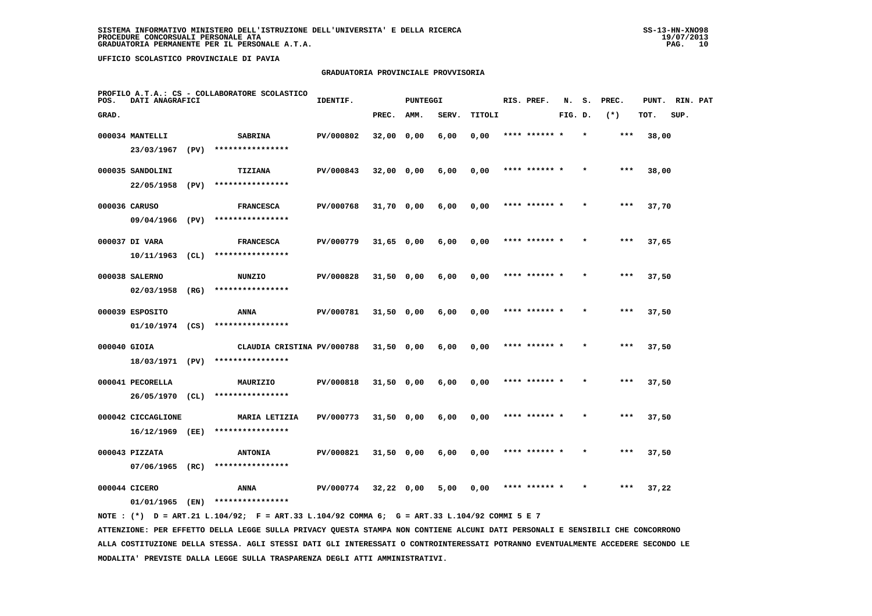## **GRADUATORIA PROVINCIALE PROVVISORIA**

| POS.         | DATI ANAGRAFICI                       |      | PROFILO A.T.A.: CS - COLLABORATORE SCOLASTICO  | IDENTIF.  |              | PUNTEGGI |       |        | RIS. PREF.    | N.      | s. | PREC.  | PUNT. | RIN. PAT |  |
|--------------|---------------------------------------|------|------------------------------------------------|-----------|--------------|----------|-------|--------|---------------|---------|----|--------|-------|----------|--|
| GRAD.        |                                       |      |                                                |           | PREC.        | AMM.     | SERV. | TITOLI |               | FIG. D. |    | $(* )$ | TOT.  | SUP.     |  |
|              | 000034 MANTELLI<br>23/03/1967         | (PV) | <b>SABRINA</b><br>****************             | PV/000802 | 32,00 0,00   |          | 6,00  | 0,00   |               |         |    | ***    | 38,00 |          |  |
|              | 000035 SANDOLINI<br>22/05/1958        | (PV) | TIZIANA<br>****************                    | PV/000843 | 32,00 0,00   |          | 6,00  | 0,00   | **** ****** * |         |    | $***$  | 38,00 |          |  |
|              | 000036 CARUSO<br>09/04/1966           | (PV) | <b>FRANCESCA</b><br>****************           | PV/000768 | $31,70$ 0,00 |          | 6,00  | 0,00   | **** ****** * |         |    | ***    | 37,70 |          |  |
|              | 000037 DI VARA<br>10/11/1963          | (CL) | <b>FRANCESCA</b><br>****************           | PV/000779 | 31,65 0,00   |          | 6,00  | 0,00   | **** ****** * |         |    | $***$  | 37,65 |          |  |
|              | 000038 SALERNO<br>02/03/1958          | (RG) | NUNZIO<br>****************                     | PV/000828 | $31,50$ 0,00 |          | 6,00  | 0,00   | **** ****** * |         |    | $***$  | 37,50 |          |  |
|              | 000039 ESPOSITO<br>$01/10/1974$ (CS)  |      | ANNA<br>****************                       | PV/000781 | $31,50$ 0,00 |          | 6,00  | 0,00   | **** ****** * |         |    | ***    | 37,50 |          |  |
| 000040 GIOIA | 18/03/1971 (PV)                       |      | CLAUDIA CRISTINA PV/000788<br>**************** |           | 31,50 0,00   |          | 6,00  | 0,00   | **** ****** * |         |    | $***$  | 37,50 |          |  |
|              | 000041 PECORELLA<br>26/05/1970 (CL)   |      | MAURIZIO<br>****************                   | PV/000818 | $31,50$ 0,00 |          | 6,00  | 0,00   | **** ******   |         |    | ***    | 37,50 |          |  |
|              | 000042 CICCAGLIONE<br>16/12/1969 (EE) |      | MARIA LETIZIA<br>****************              | PV/000773 | $31,50$ 0,00 |          | 6,00  | 0,00   | **** ****** * |         |    | $***$  | 37,50 |          |  |
|              | 000043 PIZZATA<br>07/06/1965          | (RC) | <b>ANTONIA</b><br>****************             | PV/000821 | 31,50 0,00   |          | 6,00  | 0,00   | **** ****** * |         |    | $***$  | 37,50 |          |  |
|              | 000044 CICERO<br>01/01/1965           | (EN) | ANNA<br>****************                       | PV/000774 | $32,22$ 0,00 |          | 5,00  | 0,00   |               |         |    | ***    | 37,22 |          |  |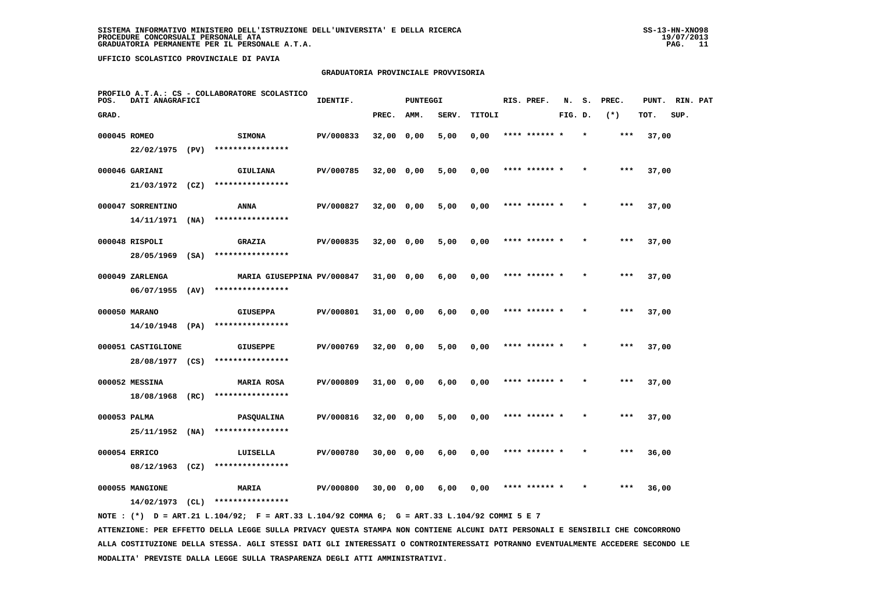## **GRADUATORIA PROVINCIALE PROVVISORIA**

| POS.         | DATI ANAGRAFICI                             |              | PROFILO A.T.A.: CS - COLLABORATORE SCOLASTICO  | IDENTIF.  |              | PUNTEGGI |       |        | RIS. PREF.    | N.      | s.      | PREC. | PUNT. | RIN. PAT |  |
|--------------|---------------------------------------------|--------------|------------------------------------------------|-----------|--------------|----------|-------|--------|---------------|---------|---------|-------|-------|----------|--|
| GRAD.        |                                             |              |                                                |           | PREC.        | AMM.     | SERV. | TITOLI |               | FIG. D. |         | $(*)$ | TOT.  | SUP.     |  |
| 000045 ROMEO | 22/02/1975 (PV)                             |              | <b>SIMONA</b><br>****************              | PV/000833 | 32,00 0,00   |          | 5,00  | 0,00   | **** ******   |         |         | $***$ | 37,00 |          |  |
|              | 000046 GARIANI<br>21/03/1972                | (CZ)         | GIULIANA<br>****************                   | PV/000785 | 32,00 0,00   |          | 5,00  | 0,00   | **** ****** * |         |         | $***$ | 37,00 |          |  |
|              | 000047 SORRENTINO                           |              | <b>ANNA</b><br>****************                | PV/000827 | 32,00 0,00   |          | 5,00  | 0,00   | **** ****** * |         | $\star$ | $***$ | 37,00 |          |  |
|              | 14/11/1971<br>000048 RISPOLI                | (NA)         | <b>GRAZIA</b><br>****************              | PV/000835 | 32,00 0,00   |          | 5,00  | 0,00   | **** ****** * |         |         | $***$ | 37,00 |          |  |
|              | 28/05/1969<br>000049 ZARLENGA<br>06/07/1955 | (SA)<br>(AV) | MARIA GIUSEPPINA PV/000847<br>**************** |           | $31,00$ 0,00 |          | 6,00  | 0,00   | **** ****** * |         |         | $***$ | 37,00 |          |  |
|              | 000050 MARANO                               |              | <b>GIUSEPPA</b><br>****************            | PV/000801 | 31,00 0,00   |          | 6,00  | 0,00   | **** ****** * |         |         | $***$ | 37,00 |          |  |
|              | 14/10/1948<br>000051 CASTIGLIONE            | (PA)         | <b>GIUSEPPE</b><br>****************            | PV/000769 | 32,00 0,00   |          | 5,00  | 0,00   | **** ******   |         |         | ***   | 37,00 |          |  |
|              | 28/08/1977 (CS)<br>000052 MESSINA           |              | <b>MARIA ROSA</b>                              | PV/000809 | 31,00 0,00   |          | 6,00  | 0,00   | **** ****** * |         |         | ***   | 37,00 |          |  |
| 000053 PALMA | 18/08/1968                                  | (RC)         | ****************<br><b>PASQUALINA</b>          | PV/000816 | 32,00 0,00   |          | 5,00  | 0,00   | **** ****** * |         |         | $***$ | 37,00 |          |  |
|              | 25/11/1952<br>000054 ERRICO                 | (NA)         | ****************<br>LUISELLA                   | PV/000780 | $30,00$ 0,00 |          | 6,00  | 0,00   | **** ****** * |         |         | ***   | 36,00 |          |  |
|              | 08/12/1963<br>000055 MANGIONE               | (CZ)         | ****************<br><b>MARIA</b>               | PV/000800 | 30,00 0,00   |          | 6,00  | 0,00   | **** ****** * |         |         | ***   | 36,00 |          |  |
|              | 14/02/1973                                  | (CL)         | ****************                               |           |              |          |       |        |               |         |         |       |       |          |  |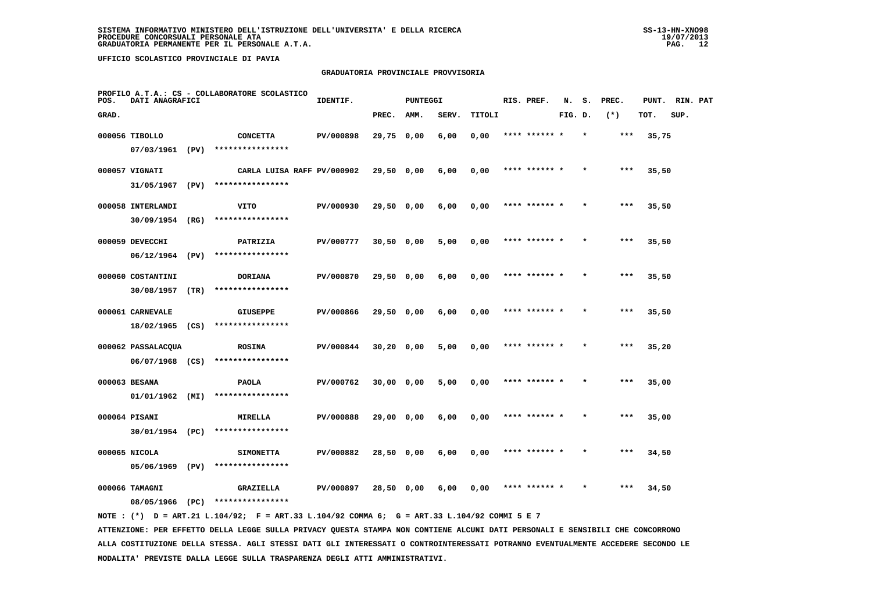## **GRADUATORIA PROVINCIALE PROVVISORIA**

| POS.  | DATI ANAGRAFICI    |      | PROFILO A.T.A.: CS - COLLABORATORE SCOLASTICO | IDENTIF.  |              | <b>PUNTEGGI</b> |       |        | RIS. PREF.    | N.      | s.      | PREC. | PUNT. | RIN. PAT |  |
|-------|--------------------|------|-----------------------------------------------|-----------|--------------|-----------------|-------|--------|---------------|---------|---------|-------|-------|----------|--|
| GRAD. |                    |      |                                               |           | PREC.        | AMM.            | SERV. | TITOLI |               | FIG. D. |         | $(*)$ | TOT.  | SUP.     |  |
|       | 000056 TIBOLLO     |      | <b>CONCETTA</b>                               | PV/000898 | 29,75 0,00   |                 | 6,00  | 0,00   | **** ****** * |         | $\star$ | ***   | 35,75 |          |  |
|       | 07/03/1961 (PV)    |      | ****************                              |           |              |                 |       |        |               |         |         |       |       |          |  |
|       | 000057 VIGNATI     |      | CARLA LUISA RAFF PV/000902                    |           | 29,50 0,00   |                 | 6,00  | 0,00   | **** ****** * |         |         | ***   | 35,50 |          |  |
|       | 31/05/1967         | (PV) | ****************                              |           |              |                 |       |        |               |         |         |       |       |          |  |
|       | 000058 INTERLANDI  |      | VITO                                          | PV/000930 | 29,50 0,00   |                 | 6,00  | 0,00   | **** ****** * |         |         | ***   | 35,50 |          |  |
|       | 30/09/1954 (RG)    |      | ****************                              |           |              |                 |       |        |               |         |         |       |       |          |  |
|       | 000059 DEVECCHI    |      | PATRIZIA                                      | PV/000777 | $30,50$ 0,00 |                 | 5,00  | 0,00   | **** ****** * |         |         | ***   | 35,50 |          |  |
|       | 06/12/1964         | (PV) | ****************                              |           |              |                 |       |        |               |         |         |       |       |          |  |
|       | 000060 COSTANTINI  |      | <b>DORIANA</b>                                | PV/000870 | $29,50$ 0,00 |                 | 6,00  | 0,00   | **** ****** * |         |         | $***$ | 35,50 |          |  |
|       | 30/08/1957         | (TR) | ****************                              |           |              |                 |       |        |               |         |         |       |       |          |  |
|       | 000061 CARNEVALE   |      | <b>GIUSEPPE</b>                               | PV/000866 | $29,50$ 0,00 |                 | 6,00  | 0,00   | **** ****** * |         |         | $***$ | 35,50 |          |  |
|       | $18/02/1965$ (CS)  |      | ****************                              |           |              |                 |       |        |               |         |         |       |       |          |  |
|       | 000062 PASSALACQUA |      | <b>ROSINA</b>                                 | PV/000844 | $30,20$ 0,00 |                 | 5,00  | 0,00   | **** ****** * |         |         | ***   | 35,20 |          |  |
|       | $06/07/1968$ (CS)  |      | ****************                              |           |              |                 |       |        |               |         |         |       |       |          |  |
|       | 000063 BESANA      |      | <b>PAOLA</b>                                  | PV/000762 | 30,00 0,00   |                 | 5,00  | 0,00   |               |         |         | ***   | 35,00 |          |  |
|       | $01/01/1962$ (MI)  |      | ****************                              |           |              |                 |       |        |               |         |         |       |       |          |  |
|       | 000064 PISANI      |      | <b>MIRELLA</b>                                | PV/000888 | 29,00 0,00   |                 | 6,00  | 0,00   | **** ****** * |         |         | ***   | 35,00 |          |  |
|       | 30/01/1954 (PC)    |      | ****************                              |           |              |                 |       |        |               |         |         |       |       |          |  |
|       | 000065 NICOLA      |      | <b>SIMONETTA</b>                              | PV/000882 | 28,50 0,00   |                 | 6,00  | 0,00   | **** ****** * |         |         | ***   | 34,50 |          |  |
|       | 05/06/1969         | (PV) | ****************                              |           |              |                 |       |        |               |         |         |       |       |          |  |
|       | 000066 TAMAGNI     |      | GRAZIELLA                                     | PV/000897 | 28,50 0,00   |                 | 6,00  | 0,00   | **** ****** * |         |         | ***   | 34,50 |          |  |
|       | 08/05/1966 (PC)    |      | ****************                              |           |              |                 |       |        |               |         |         |       |       |          |  |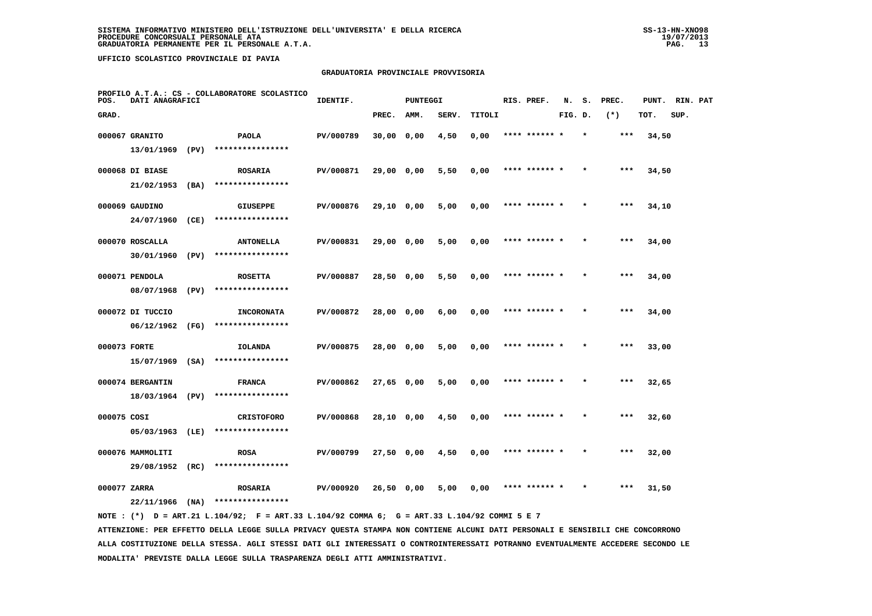## **GRADUATORIA PROVINCIALE PROVVISORIA**

| POS.         | DATI ANAGRAFICI                     |      | PROFILO A.T.A.: CS - COLLABORATORE SCOLASTICO | IDENTIF.  |            | PUNTEGGI |       |        | RIS. PREF.    | N.      | s.      | PREC. | PUNT. | RIN. PAT |  |
|--------------|-------------------------------------|------|-----------------------------------------------|-----------|------------|----------|-------|--------|---------------|---------|---------|-------|-------|----------|--|
| GRAD.        |                                     |      |                                               |           | PREC.      | AMM.     | SERV. | TITOLI |               | FIG. D. |         | $(*)$ | TOT.  | SUP.     |  |
|              | 000067 GRANITO                      |      | <b>PAOLA</b>                                  | PV/000789 | 30,00 0,00 |          | 4,50  | 0,00   | **** ******   |         |         | $***$ | 34,50 |          |  |
|              | 13/01/1969                          | (PV) | ****************                              |           |            |          |       |        |               |         |         |       |       |          |  |
|              | 000068 DI BIASE                     |      | <b>ROSARIA</b>                                | PV/000871 | 29,00 0,00 |          | 5,50  | 0,00   | **** ****** * |         |         | $***$ | 34,50 |          |  |
|              | 21/02/1953                          | (BA) | ****************                              |           |            |          |       |        |               |         |         |       |       |          |  |
|              | 000069 GAUDINO                      |      | <b>GIUSEPPE</b>                               | PV/000876 | 29,10 0,00 |          | 5,00  | 0,00   | **** ****** * |         | $\star$ | $***$ | 34,10 |          |  |
|              | 24/07/1960                          | (CE) | ****************                              |           |            |          |       |        |               |         |         |       |       |          |  |
|              | 000070 ROSCALLA                     |      | <b>ANTONELLA</b>                              | PV/000831 | 29,00 0,00 |          | 5,00  | 0,00   | **** ****** * |         |         | $***$ | 34,00 |          |  |
|              | 30/01/1960 (PV)                     |      | ****************                              |           |            |          |       |        |               |         |         |       |       |          |  |
|              | 000071 PENDOLA                      |      | <b>ROSETTA</b>                                | PV/000887 | 28,50 0,00 |          | 5,50  | 0,00   | **** ****** * |         |         | $***$ | 34,00 |          |  |
|              | 08/07/1968                          | (PV) | ****************                              |           |            |          |       |        |               |         |         |       |       |          |  |
|              | 000072 DI TUCCIO                    |      | <b>INCORONATA</b>                             | PV/000872 | 28,00 0,00 |          | 6,00  | 0,00   | **** ****** * |         | $\star$ | $***$ | 34,00 |          |  |
|              | 06/12/1962                          | (FG) | ****************                              |           |            |          |       |        |               |         |         |       |       |          |  |
| 000073 FORTE |                                     |      | IOLANDA                                       | PV/000875 | 28,00 0,00 |          | 5,00  | 0,00   |               |         |         | ***   | 33,00 |          |  |
|              | 15/07/1969                          | (SA) | ****************                              |           |            |          |       |        |               |         |         |       |       |          |  |
|              | 000074 BERGANTIN                    |      | <b>FRANCA</b><br>****************             | PV/000862 | 27,65 0,00 |          | 5,00  | 0,00   | **** ****** * |         |         | $***$ | 32,65 |          |  |
|              | 18/03/1964 (PV)                     |      |                                               |           |            |          |       |        |               |         |         |       |       |          |  |
| 000075 COSI  |                                     |      | <b>CRISTOFORO</b><br>****************         | PV/000868 | 28,10 0,00 |          | 4,50  | 0,00   | **** ****** * |         |         | $***$ | 32,60 |          |  |
|              | 05/03/1963                          | (LE) |                                               |           |            |          |       |        |               |         |         |       |       |          |  |
|              | 000076 MAMMOLITI<br>29/08/1952 (RC) |      | <b>ROSA</b><br>****************               | PV/000799 | 27,50 0,00 |          | 4,50  | 0,00   | **** ****** * |         |         | $***$ | 32,00 |          |  |
|              |                                     |      |                                               |           |            |          |       |        |               |         |         |       |       |          |  |
| 000077 ZARRA | 22/11/1966                          | (NA) | <b>ROSARIA</b><br>****************            | PV/000920 | 26,50 0,00 |          | 5,00  | 0,00   |               |         |         | ***   | 31,50 |          |  |
|              |                                     |      |                                               |           |            |          |       |        |               |         |         |       |       |          |  |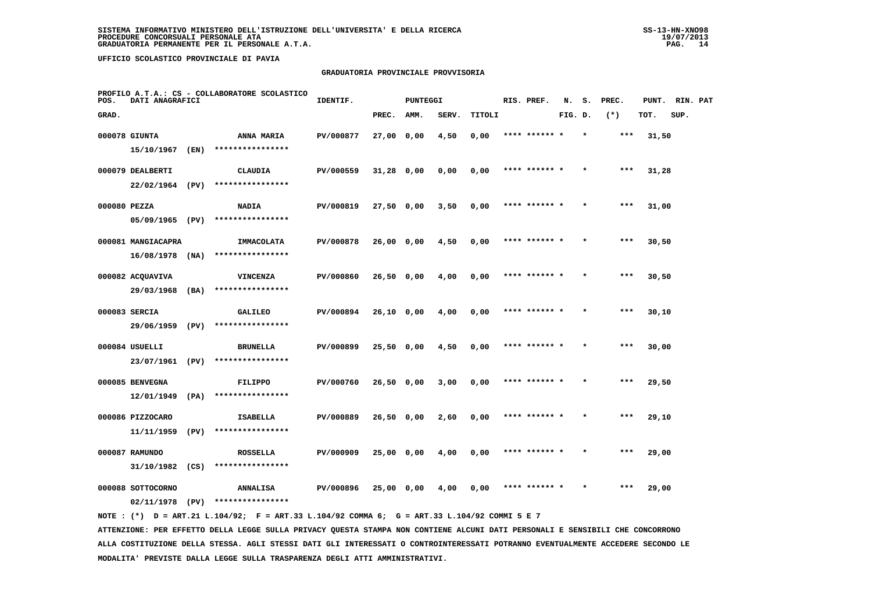## **GRADUATORIA PROVINCIALE PROVVISORIA**

| POS.         | DATI ANAGRAFICI              |      | PROFILO A.T.A.: CS - COLLABORATORE SCOLASTICO | IDENTIF.  |              | <b>PUNTEGGI</b> |       |        | RIS. PREF.    | N.      | s. | PREC. | PUNT. | RIN. PAT |  |
|--------------|------------------------------|------|-----------------------------------------------|-----------|--------------|-----------------|-------|--------|---------------|---------|----|-------|-------|----------|--|
| GRAD.        |                              |      |                                               |           | PREC.        | AMM.            | SERV. | TITOLI |               | FIG. D. |    | $(*)$ | TOT.  | SUP.     |  |
|              | 000078 GIUNTA                |      | ANNA MARIA                                    | PV/000877 | 27,00 0,00   |                 | 4,50  | 0,00   | **** ****** * |         |    | ***   | 31,50 |          |  |
|              | 15/10/1967                   | (EN) | ****************                              |           |              |                 |       |        |               |         |    |       |       |          |  |
|              | 000079 DEALBERTI             |      | CLAUDIA                                       | PV/000559 | 31,28 0,00   |                 | 0,00  | 0,00   | **** ****** * |         |    | ***   | 31,28 |          |  |
|              | 22/02/1964 (PV)              |      | ****************                              |           |              |                 |       |        |               |         |    |       |       |          |  |
| 000080 PEZZA |                              |      | <b>NADIA</b>                                  | PV/000819 | $27,50$ 0,00 |                 | 3,50  | 0,00   | **** ****** * |         |    | $***$ | 31,00 |          |  |
|              | 05/09/1965 (PV)              |      | ****************                              |           |              |                 |       |        |               |         |    |       |       |          |  |
|              | 000081 MANGIACAPRA           |      | IMMACOLATA                                    | PV/000878 | 26,00 0,00   |                 | 4,50  | 0,00   | **** ****** * |         |    | ***   | 30,50 |          |  |
|              | 16/08/1978                   | (MA) | ****************                              |           |              |                 |       |        |               |         |    |       |       |          |  |
|              | 000082 ACQUAVIVA             |      | <b>VINCENZA</b>                               | PV/000860 | 26,50 0,00   |                 | 4,00  | 0,00   | **** ****** * |         |    | ***   | 30,50 |          |  |
|              | 29/03/1968                   | (BA) | ****************                              |           |              |                 |       |        |               |         |    |       |       |          |  |
|              | 000083 SERCIA                |      | <b>GALILEO</b>                                | PV/000894 | $26,10$ 0,00 |                 | 4,00  | 0,00   | **** ****** * |         |    | $***$ | 30,10 |          |  |
|              | 29/06/1959 (PV)              |      | ****************                              |           |              |                 |       |        |               |         |    |       |       |          |  |
|              | 000084 USUELLI               |      | <b>BRUNELLA</b>                               | PV/000899 | 25,50 0,00   |                 | 4,50  | 0,00   | **** ****** * |         |    | $***$ | 30,00 |          |  |
|              | 23/07/1961                   | (PV) | ****************                              |           |              |                 |       |        |               |         |    |       |       |          |  |
|              | 000085 BENVEGNA              |      | FILIPPO<br>****************                   | PV/000760 | 26,50 0,00   |                 | 3,00  | 0,00   | **** ****** * |         |    | ***   | 29,50 |          |  |
|              | 12/01/1949                   | (PA) |                                               |           |              |                 |       |        |               |         |    |       |       |          |  |
|              | 000086 PIZZOCARO             |      | <b>ISABELLA</b><br>****************           | PV/000889 | $26,50$ 0,00 |                 | 2,60  | 0,00   | **** ****** * |         |    | $***$ | 29,10 |          |  |
|              | 11/11/1959                   | (PV) |                                               |           |              |                 |       |        |               |         |    |       |       |          |  |
|              | 000087 RAMUNDO<br>31/10/1982 | (CS) | <b>ROSSELLA</b><br>****************           | PV/000909 | 25,00 0,00   |                 | 4,00  | 0,00   | **** ****** * |         |    | $***$ | 29,00 |          |  |
|              |                              |      |                                               |           |              |                 |       |        |               |         |    |       |       |          |  |
|              | 000088 SOTTOCORNO            |      | <b>ANNALISA</b><br>****************           | PV/000896 | 25,00 0,00   |                 | 4,00  | 0,00   | **** ****** * |         |    | ***   | 29,00 |          |  |
|              | $02/11/1978$ (PV)            |      |                                               |           |              |                 |       |        |               |         |    |       |       |          |  |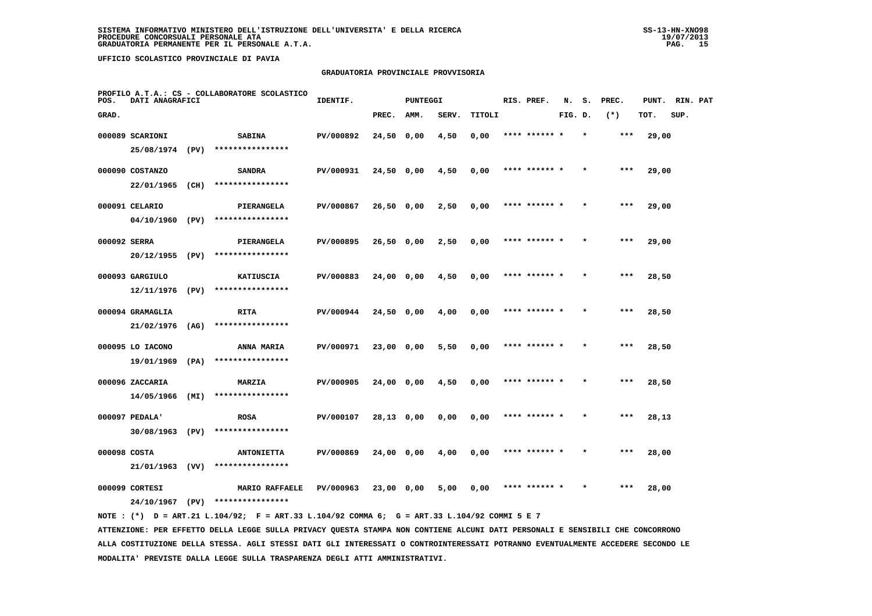## **GRADUATORIA PROVINCIALE PROVVISORIA**

| POS.         | DATI ANAGRAFICI  |      | PROFILO A.T.A.: CS - COLLABORATORE SCOLASTICO | IDENTIF.  |              | <b>PUNTEGGI</b> |       |        | RIS. PREF.    | N.      | s.      | PREC. | PUNT. | RIN. PAT |  |
|--------------|------------------|------|-----------------------------------------------|-----------|--------------|-----------------|-------|--------|---------------|---------|---------|-------|-------|----------|--|
| GRAD.        |                  |      |                                               |           | PREC.        | AMM.            | SERV. | TITOLI |               | FIG. D. |         | $(*)$ | TOT.  | SUP.     |  |
|              | 000089 SCARIONI  |      | <b>SABINA</b>                                 | PV/000892 | 24,50 0,00   |                 | 4,50  | 0,00   | **** ****** * |         |         | $***$ | 29,00 |          |  |
|              | 25/08/1974 (PV)  |      | ****************                              |           |              |                 |       |        |               |         |         |       |       |          |  |
|              | 000090 COSTANZO  |      | <b>SANDRA</b>                                 | PV/000931 | 24,50 0,00   |                 | 4,50  | 0,00   | **** ****** * |         |         | ***   | 29,00 |          |  |
|              | 22/01/1965 (CH)  |      | ****************                              |           |              |                 |       |        |               |         |         |       |       |          |  |
|              | 000091 CELARIO   |      | PIERANGELA                                    | PV/000867 | $26,50$ 0,00 |                 | 2,50  | 0,00   | **** ****** * |         |         | $***$ | 29,00 |          |  |
|              | 04/10/1960 (PV)  |      | ****************                              |           |              |                 |       |        |               |         |         |       |       |          |  |
| 000092 SERRA |                  |      | PIERANGELA                                    | PV/000895 | 26,50 0,00   |                 | 2,50  | 0,00   | **** ****** * |         | $\star$ | $***$ | 29,00 |          |  |
|              | 20/12/1955       | (PV) | ****************                              |           |              |                 |       |        |               |         |         |       |       |          |  |
|              | 000093 GARGIULO  |      | <b>KATIUSCIA</b>                              | PV/000883 | $24,00$ 0,00 |                 | 4,50  | 0,00   | **** ****** * |         |         | $***$ | 28,50 |          |  |
|              | 12/11/1976 (PV)  |      | ****************                              |           |              |                 |       |        |               |         |         |       |       |          |  |
|              | 000094 GRAMAGLIA |      | <b>RITA</b>                                   | PV/000944 | 24,50 0,00   |                 | 4,00  | 0,00   | **** ****** * |         |         | $***$ | 28,50 |          |  |
|              | 21/02/1976       | (AG) | ****************                              |           |              |                 |       |        |               |         |         |       |       |          |  |
|              | 000095 LO IACONO |      | ANNA MARIA                                    | PV/000971 | 23,00 0,00   |                 | 5,50  | 0,00   | **** ****** * |         |         | $***$ | 28,50 |          |  |
|              | 19/01/1969       | (PA) | ****************                              |           |              |                 |       |        |               |         |         |       |       |          |  |
|              | 000096 ZACCARIA  |      | MARZIA                                        | PV/000905 | 24,00 0,00   |                 | 4,50  | 0,00   | **** ****** * |         |         | ***   | 28,50 |          |  |
|              | 14/05/1966       | (MI) | ****************                              |           |              |                 |       |        |               |         |         |       |       |          |  |
|              | 000097 PEDALA'   |      | <b>ROSA</b>                                   | PV/000107 | 28,13 0,00   |                 | 0,00  | 0,00   | **** ****** * |         |         | $***$ | 28,13 |          |  |
|              | 30/08/1963       | (PV) | ****************                              |           |              |                 |       |        |               |         |         |       |       |          |  |
| 000098 COSTA |                  |      | <b>ANTONIETTA</b>                             | PV/000869 | 24,00 0,00   |                 | 4,00  | 0,00   | **** ****** * |         |         | $***$ | 28,00 |          |  |
|              | 21/01/1963 (VV)  |      | ****************                              |           |              |                 |       |        |               |         |         |       |       |          |  |
|              | 000099 CORTESI   |      | MARIO RAFFAELE                                | PV/000963 | 23,00 0,00   |                 | 5,00  | 0,00   | **** ****** * |         |         | ***   | 28,00 |          |  |
|              | 24/10/1967       | (PV) | ****************                              |           |              |                 |       |        |               |         |         |       |       |          |  |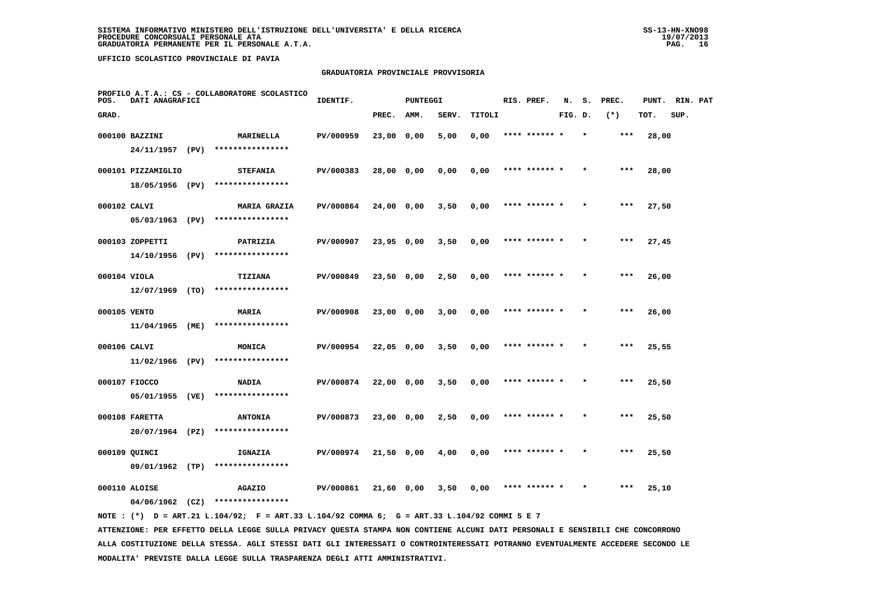## **GRADUATORIA PROVINCIALE PROVVISORIA**

| POS.         | DATI ANAGRAFICI                    |      | PROFILO A.T.A.: CS - COLLABORATORE SCOLASTICO | IDENTIF.  |              | PUNTEGGI |       |        | RIS. PREF.    | N.      | s. | PREC. | PUNT. | RIN. PAT |  |
|--------------|------------------------------------|------|-----------------------------------------------|-----------|--------------|----------|-------|--------|---------------|---------|----|-------|-------|----------|--|
| GRAD.        |                                    |      |                                               |           | PREC.        | AMM.     | SERV. | TITOLI |               | FIG. D. |    | $(*)$ | TOT.  | SUP.     |  |
|              | 000100 BAZZINI                     |      | <b>MARINELLA</b>                              | PV/000959 | $23,00$ 0,00 |          | 5,00  | 0,00   | **** ****** * |         |    | ***   | 28,00 |          |  |
|              | 24/11/1957 (PV)                    |      | ****************                              |           |              |          |       |        |               |         |    |       |       |          |  |
|              | 000101 PIZZAMIGLIO                 |      | <b>STEFANIA</b>                               | PV/000383 | 28,00 0,00   |          | 0,00  | 0,00   | **** ****** * |         |    | $***$ | 28,00 |          |  |
|              | 18/05/1956 (PV)                    |      | ****************                              |           |              |          |       |        |               |         |    |       |       |          |  |
| 000102 CALVI |                                    |      | <b>MARIA GRAZIA</b>                           | PV/000864 | 24,00 0,00   |          | 3,50  | 0,00   | **** ****** * |         |    | ***   | 27,50 |          |  |
|              | 05/03/1963                         | (PV) | ****************                              |           |              |          |       |        |               |         |    |       |       |          |  |
|              | 000103 ZOPPETTI                    |      | PATRIZIA                                      | PV/000907 | 23,95 0,00   |          | 3,50  | 0,00   | **** ****** * |         |    | $***$ | 27,45 |          |  |
|              | 14/10/1956 (PV)                    |      | ****************                              |           |              |          |       |        |               |         |    |       |       |          |  |
| 000104 VIOLA |                                    |      | TIZIANA                                       | PV/000849 | $23,50$ 0,00 |          | 2,50  | 0,00   | **** ****** * |         |    | $***$ | 26,00 |          |  |
|              | $12/07/1969$ (TO)                  |      | ****************                              |           |              |          |       |        |               |         |    |       |       |          |  |
| 000105 VENTO |                                    |      | <b>MARIA</b>                                  | PV/000908 | 23,00 0,00   |          | 3,00  | 0,00   | **** ****** * |         |    | $***$ | 26,00 |          |  |
|              | 11/04/1965                         | (ME) | ****************                              |           |              |          |       |        |               |         |    |       |       |          |  |
| 000106 CALVI |                                    |      | MONICA                                        | PV/000954 | 22,05 0,00   |          | 3,50  | 0,00   | **** ******   |         |    | ***   | 25,55 |          |  |
|              | 11/02/1966 (PV)                    |      | ****************                              |           |              |          |       |        |               |         |    |       |       |          |  |
|              | 000107 FIOCCO                      |      | <b>NADIA</b>                                  | PV/000874 | 22,00 0,00   |          | 3,50  | 0,00   | **** ****** * |         |    | $***$ | 25,50 |          |  |
|              | 05/01/1955                         | (VE) | ****************                              |           |              |          |       |        |               |         |    |       |       |          |  |
|              | 000108 FARETTA                     |      | <b>ANTONIA</b>                                | PV/000873 | 23,00 0,00   |          | 2,50  | 0,00   | **** ****** * |         |    | ***   | 25,50 |          |  |
|              | 20/07/1964 (PZ)                    |      | ****************                              |           |              |          |       |        |               |         |    |       |       |          |  |
|              | 000109 QUINCI                      |      | <b>IGNAZIA</b><br>****************            | PV/000974 | 21,50 0,00   |          | 4,00  | 0,00   | **** ****** * |         |    | $***$ | 25,50 |          |  |
|              | 09/01/1962 (TP)                    |      |                                               |           |              |          |       |        |               |         |    |       |       |          |  |
|              | 000110 ALOISE<br>$04/06/1962$ (CZ) |      | <b>AGAZIO</b><br>****************             | PV/000861 | 21,60 0,00   |          | 3,50  | 0,00   | **** ****** * |         |    | ***   | 25,10 |          |  |
|              |                                    |      |                                               |           |              |          |       |        |               |         |    |       |       |          |  |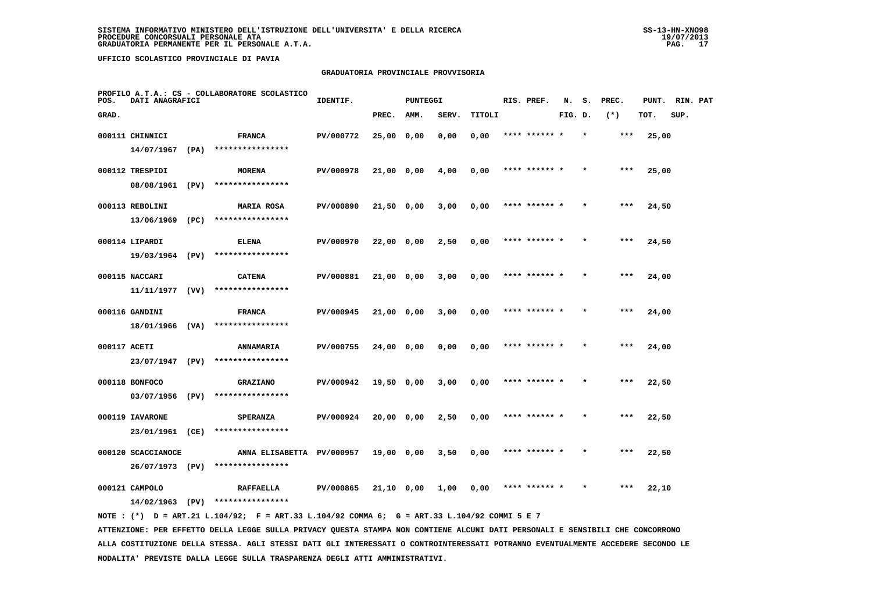## **GRADUATORIA PROVINCIALE PROVVISORIA**

| POS.         | DATI ANAGRAFICI    | PROFILO A.T.A.: CS - COLLABORATORE SCOLASTICO | IDENTIF.  |              | <b>PUNTEGGI</b> |       |        | RIS. PREF.    | N.      | s. | PREC. | PUNT. | RIN. PAT |  |
|--------------|--------------------|-----------------------------------------------|-----------|--------------|-----------------|-------|--------|---------------|---------|----|-------|-------|----------|--|
| GRAD.        |                    |                                               |           | PREC.        | <b>AMM.</b>     | SERV. | TITOLI |               | FIG. D. |    | $(*)$ | TOT.  | SUP.     |  |
|              | 000111 CHINNICI    | <b>FRANCA</b>                                 | PV/000772 | 25,00 0,00   |                 | 0,00  | 0,00   | **** ****** * |         |    | ***   | 25,00 |          |  |
|              | $14/07/1967$ (PA)  | ****************                              |           |              |                 |       |        |               |         |    |       |       |          |  |
|              | 000112 TRESPIDI    | <b>MORENA</b>                                 | PV/000978 | $21,00$ 0,00 |                 | 4,00  | 0,00   | **** ****** * |         |    | ***   | 25,00 |          |  |
|              | 08/08/1961 (PV)    | ****************                              |           |              |                 |       |        |               |         |    |       |       |          |  |
|              | 000113 REBOLINI    | <b>MARIA ROSA</b>                             | PV/000890 | 21,50 0,00   |                 | 3,00  | 0,00   | **** ****** * |         |    | ***   | 24,50 |          |  |
|              | 13/06/1969 (PC)    | ****************                              |           |              |                 |       |        |               |         |    |       |       |          |  |
|              | 000114 LIPARDI     | <b>ELENA</b>                                  | PV/000970 | 22,00 0,00   |                 | 2,50  | 0,00   | **** ****** * |         |    | ***   | 24,50 |          |  |
|              | 19/03/1964 (PV)    | ****************                              |           |              |                 |       |        |               |         |    |       |       |          |  |
|              | 000115 NACCARI     | <b>CATENA</b>                                 | PV/000881 | 21,00 0,00   |                 | 3,00  | 0,00   | **** ****** * |         |    | $***$ | 24,00 |          |  |
|              | $11/11/1977$ (VV)  | ****************                              |           |              |                 |       |        |               |         |    |       |       |          |  |
|              | 000116 GANDINI     | <b>FRANCA</b>                                 | PV/000945 | 21,00 0,00   |                 | 3,00  | 0,00   | **** ****** * |         |    | ***   | 24,00 |          |  |
|              | 18/01/1966 (VA)    | ****************                              |           |              |                 |       |        |               |         |    |       |       |          |  |
| 000117 ACETI |                    | <b>ANNAMARIA</b>                              | PV/000755 | 24,00 0,00   |                 | 0,00  | 0,00   | **** ****** * |         |    | $***$ | 24,00 |          |  |
|              | 23/07/1947 (PV)    | ****************                              |           |              |                 |       |        |               |         |    |       |       |          |  |
|              | 000118 BONFOCO     | <b>GRAZIANO</b>                               | PV/000942 | 19,50 0,00   |                 | 3,00  | 0,00   | **** ******   |         |    | ***   | 22,50 |          |  |
|              | 03/07/1956 (PV)    | ****************                              |           |              |                 |       |        |               |         |    |       |       |          |  |
|              | 000119 IAVARONE    | <b>SPERANZA</b>                               | PV/000924 | 20,00 0,00   |                 | 2,50  | 0,00   | **** ****** * |         |    | $***$ | 22,50 |          |  |
|              | 23/01/1961 (CE)    | ****************                              |           |              |                 |       |        |               |         |    |       |       |          |  |
|              | 000120 SCACCIANOCE | ANNA ELISABETTA PV/000957                     |           | 19,00 0,00   |                 | 3,50  | 0,00   | **** ****** * |         |    | ***   | 22,50 |          |  |
|              | 26/07/1973 (PV)    | ****************                              |           |              |                 |       |        |               |         |    |       |       |          |  |
|              | 000121 CAMPOLO     | <b>RAFFAELLA</b>                              | PV/000865 | 21,10 0,00   |                 | 1,00  | 0,00   | **** ****** * |         |    | ***   | 22,10 |          |  |
|              | 14/02/1963 (PV)    | ****************                              |           |              |                 |       |        |               |         |    |       |       |          |  |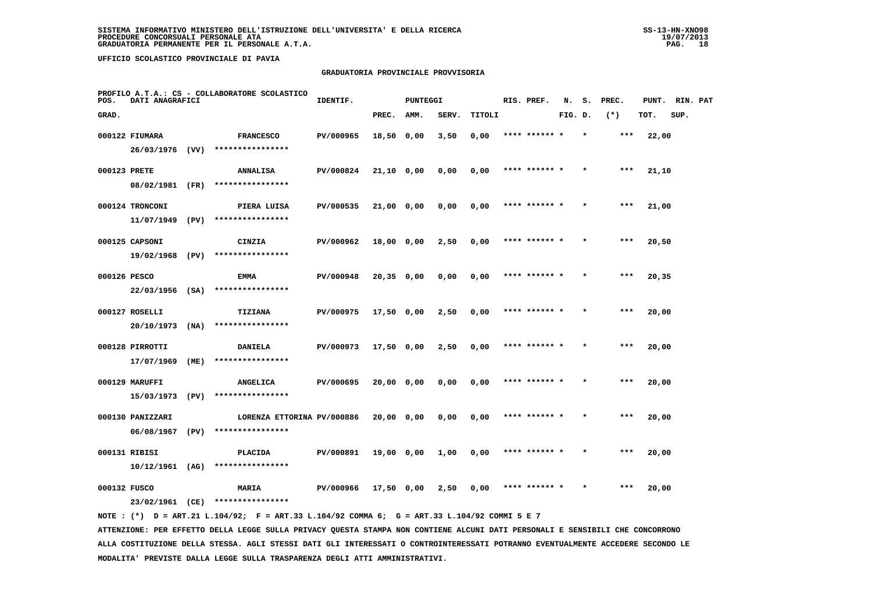## **GRADUATORIA PROVINCIALE PROVVISORIA**

| POS.         | DATI ANAGRAFICI   |      | PROFILO A.T.A.: CS - COLLABORATORE SCOLASTICO | IDENTIF.  |              | <b>PUNTEGGI</b> |       |        | RIS. PREF.    | N.      | s. | PREC. | PUNT. | RIN. PAT |  |
|--------------|-------------------|------|-----------------------------------------------|-----------|--------------|-----------------|-------|--------|---------------|---------|----|-------|-------|----------|--|
| GRAD.        |                   |      |                                               |           | PREC.        | AMM.            | SERV. | TITOLI |               | FIG. D. |    | $(*)$ | TOT.  | SUP.     |  |
|              | 000122 FIUMARA    |      | <b>FRANCESCO</b>                              | PV/000965 | 18,50 0,00   |                 | 3,50  | 0,00   | **** ****** * |         |    | ***   | 22,00 |          |  |
|              | 26/03/1976 (VV)   |      | ****************                              |           |              |                 |       |        |               |         |    |       |       |          |  |
| 000123 PRETE |                   |      | ANNALISA                                      | PV/000824 | 21,10 0,00   |                 | 0,00  | 0,00   | **** ****** * |         |    | $***$ | 21,10 |          |  |
|              | 08/02/1981 (FR)   |      | ****************                              |           |              |                 |       |        |               |         |    |       |       |          |  |
|              | 000124 TRONCONI   |      | PIERA LUISA                                   | PV/000535 | 21,00 0,00   |                 | 0,00  | 0,00   | **** ****** * |         |    | ***   | 21,00 |          |  |
|              | 11/07/1949 (PV)   |      | ****************                              |           |              |                 |       |        |               |         |    |       |       |          |  |
|              | 000125 CAPSONI    |      | CINZIA                                        | PV/000962 | 18,00 0,00   |                 | 2,50  | 0,00   | **** ****** * |         |    | ***   | 20,50 |          |  |
|              | 19/02/1968 (PV)   |      | ****************                              |           |              |                 |       |        |               |         |    |       |       |          |  |
| 000126 PESCO |                   |      | <b>EMMA</b>                                   | PV/000948 | $20,35$ 0,00 |                 | 0,00  | 0,00   | **** ****** * |         |    | ***   | 20,35 |          |  |
|              | $22/03/1956$ (SA) |      | ****************                              |           |              |                 |       |        |               |         |    |       |       |          |  |
|              | 000127 ROSELLI    |      | TIZIANA                                       | PV/000975 | $17,50$ 0,00 |                 | 2,50  | 0,00   | **** ****** * |         |    | $***$ | 20,00 |          |  |
|              | 20/10/1973        | (NA) | ****************                              |           |              |                 |       |        |               |         |    |       |       |          |  |
|              | 000128 PIRROTTI   |      | <b>DANIELA</b>                                | PV/000973 | 17,50 0,00   |                 | 2,50  | 0,00   | **** ****** * |         |    | ***   | 20,00 |          |  |
|              | 17/07/1969        | (ME) | ****************                              |           |              |                 |       |        |               |         |    |       |       |          |  |
|              | 000129 MARUFFI    |      | <b>ANGELICA</b>                               | PV/000695 | 20,00 0,00   |                 | 0,00  | 0,00   | **** ******   |         |    | ***   | 20,00 |          |  |
|              | 15/03/1973 (PV)   |      | ****************                              |           |              |                 |       |        |               |         |    |       |       |          |  |
|              | 000130 PANIZZARI  |      | LORENZA ETTORINA PV/000886                    |           | 20,00 0,00   |                 | 0,00  | 0,00   | **** ****** * |         |    | ***   | 20,00 |          |  |
|              | 06/08/1967        | (PV) | ****************                              |           |              |                 |       |        |               |         |    |       |       |          |  |
|              | 000131 RIBISI     |      | <b>PLACIDA</b>                                | PV/000891 | 19,00 0,00   |                 | 1,00  | 0,00   | **** ****** * |         |    | ***   | 20,00 |          |  |
|              | $10/12/1961$ (AG) |      | ****************                              |           |              |                 |       |        |               |         |    |       |       |          |  |
| 000132 FUSCO |                   |      | MARIA                                         | PV/000966 | 17,50 0,00   |                 | 2,50  | 0,00   | **** ****** * |         |    | $***$ | 20,00 |          |  |
|              | 23/02/1961 (CE)   |      | ****************                              |           |              |                 |       |        |               |         |    |       |       |          |  |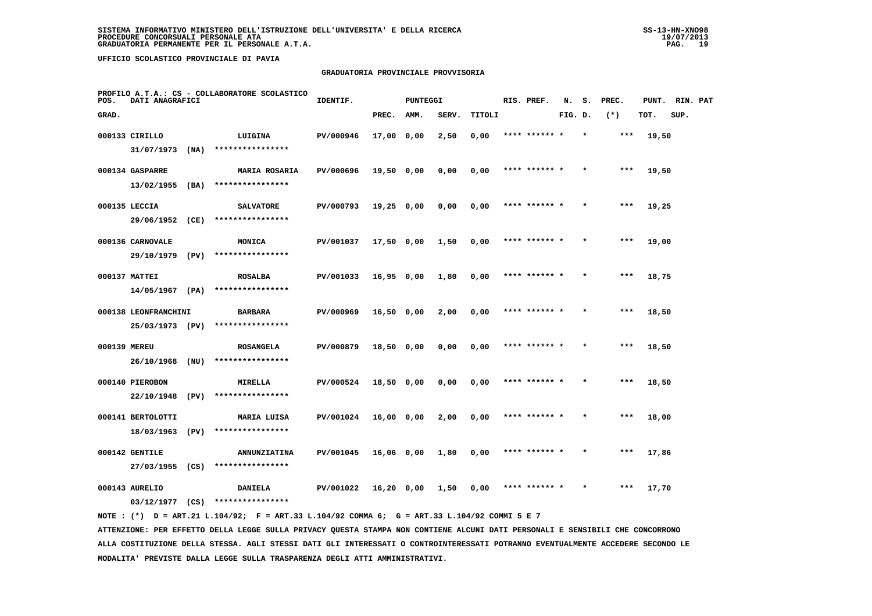## **GRADUATORIA PROVINCIALE PROVVISORIA**

| POS.         | DATI ANAGRAFICI      |      | PROFILO A.T.A.: CS - COLLABORATORE SCOLASTICO | IDENTIF.  |              | PUNTEGGI |       |        |      | RIS. PREF.    | N.      |         | S. PREC. |       | PUNT. RIN. PAT |  |
|--------------|----------------------|------|-----------------------------------------------|-----------|--------------|----------|-------|--------|------|---------------|---------|---------|----------|-------|----------------|--|
| GRAD.        |                      |      |                                               |           | PREC.        | AMM.     | SERV. | TITOLI |      |               | FIG. D. |         | $(*)$    | TOT.  | SUP.           |  |
|              | 000133 CIRILLO       |      | LUIGINA                                       | PV/000946 | 17,00 0,00   |          | 2,50  | 0,00   |      |               |         |         | ***      | 19,50 |                |  |
|              | $31/07/1973$ (NA)    |      | ****************                              |           |              |          |       |        |      |               |         |         |          |       |                |  |
|              | 000134 GASPARRE      |      | <b>MARIA ROSARIA</b>                          | PV/000696 | 19,50 0,00   |          | 0.00  | 0,00   |      | **** ****** * |         |         | $***$    | 19,50 |                |  |
|              | $13/02/1955$ (BA)    |      | ****************                              |           |              |          |       |        |      |               |         |         |          |       |                |  |
|              | 000135 LECCIA        |      | <b>SALVATORE</b>                              | PV/000793 | $19,25$ 0,00 |          | 0,00  | 0,00   |      | **** ****** * |         | $\star$ | $***$    | 19,25 |                |  |
|              | 29/06/1952           | (CE) | ****************                              |           |              |          |       |        |      |               |         |         |          |       |                |  |
|              | 000136 CARNOVALE     |      | MONICA                                        | PV/001037 | 17,50 0,00   |          | 1,50  | 0,00   |      | **** ****** * |         |         | $***$    | 19,00 |                |  |
|              | 29/10/1979           | (PV) | ****************                              |           |              |          |       |        |      |               |         |         |          |       |                |  |
|              | 000137 MATTEI        |      | <b>ROSALBA</b>                                | PV/001033 | $16,95$ 0,00 |          | 1,80  | 0,00   |      | **** ****** * |         |         | $***$    | 18,75 |                |  |
|              | 14/05/1967 (PA)      |      | ****************                              |           |              |          |       |        |      |               |         |         |          |       |                |  |
|              | 000138 LEONFRANCHINI |      | <b>BARBARA</b>                                | PV/000969 | $16,50$ 0,00 |          | 2,00  | 0,00   |      | **** ****** * |         |         | $***$    | 18,50 |                |  |
|              | 25/03/1973 (PV)      |      | ****************                              |           |              |          |       |        |      |               |         |         |          |       |                |  |
|              |                      |      |                                               |           |              |          |       |        | **** |               |         |         | $***$    |       |                |  |
| 000139 MEREU | $26/10/1968$ (NU)    |      | <b>ROSANGELA</b><br>****************          | PV/000879 | 18,50 0,00   |          | 0,00  | 0,00   |      |               |         |         |          | 18,50 |                |  |
|              |                      |      |                                               |           |              |          |       |        |      |               |         |         |          |       |                |  |
|              | 000140 PIEROBON      |      | <b>MIRELLA</b>                                | PV/000524 | 18,50 0,00   |          | 0,00  | 0,00   |      | **** ****** * |         |         | $***$    | 18,50 |                |  |
|              | 22/10/1948           | (PV) | ****************                              |           |              |          |       |        |      |               |         |         |          |       |                |  |
|              | 000141 BERTOLOTTI    |      | MARIA LUISA                                   | PV/001024 | 16,00 0,00   |          | 2,00  | 0,00   |      | **** ****** * |         |         | $***$    | 18,00 |                |  |
|              | 18/03/1963           | (PV) | ****************                              |           |              |          |       |        |      |               |         |         |          |       |                |  |
|              | 000142 GENTILE       |      | <b>ANNUNZIATINA</b>                           | PV/001045 | 16,06 0,00   |          | 1,80  | 0,00   |      | **** ****** * |         |         | $***$    | 17,86 |                |  |
|              | 27/03/1955 (CS)      |      | ****************                              |           |              |          |       |        |      |               |         |         |          |       |                |  |
|              | 000143 AURELIO       |      | <b>DANIELA</b>                                | PV/001022 | 16,20 0,00   |          | 1,50  | 0,00   |      |               |         |         | ***      | 17,70 |                |  |
|              | 03/12/1977           | (CS) | ****************                              |           |              |          |       |        |      |               |         |         |          |       |                |  |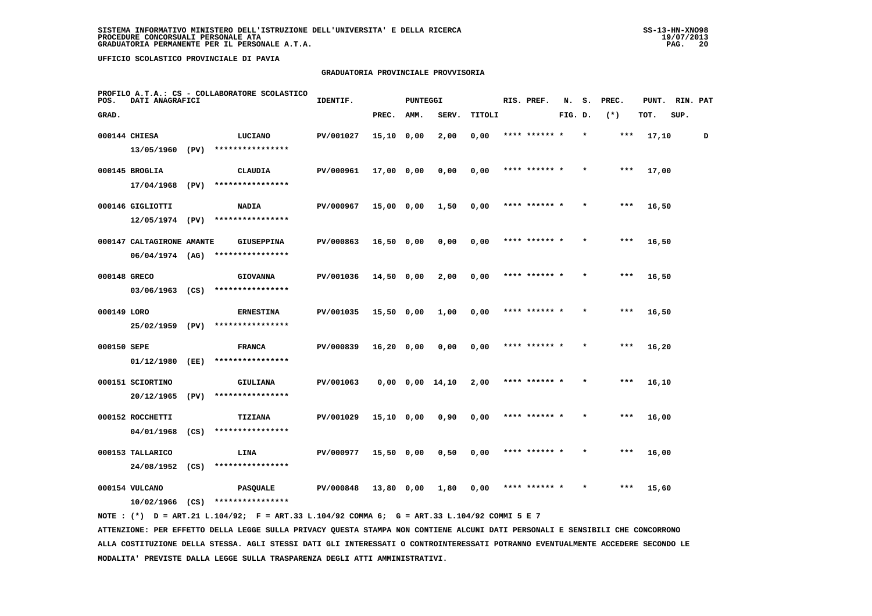## **GRADUATORIA PROVINCIALE PROVVISORIA**

| POS.         | DATI ANAGRAFICI           |      | PROFILO A.T.A.: CS - COLLABORATORE SCOLASTICO | IDENTIF.  |              | <b>PUNTEGGI</b> |                       |        | RIS. PREF.    | N.      | s.      | PREC. | PUNT. | RIN. PAT |   |
|--------------|---------------------------|------|-----------------------------------------------|-----------|--------------|-----------------|-----------------------|--------|---------------|---------|---------|-------|-------|----------|---|
| GRAD.        |                           |      |                                               |           | PREC.        | AMM.            | SERV.                 | TITOLI |               | FIG. D. |         | $(*)$ | TOT.  | SUP.     |   |
|              | 000144 CHIESA             |      | LUCIANO                                       | PV/001027 | $15,10$ 0,00 |                 | 2,00                  | 0,00   | **** ****** * |         |         | ***   | 17,10 |          | D |
|              | 13/05/1960 (PV)           |      | ****************                              |           |              |                 |                       |        |               |         |         |       |       |          |   |
|              | 000145 BROGLIA            |      | <b>CLAUDIA</b>                                | PV/000961 | 17,00 0,00   |                 | 0,00                  | 0,00   | **** ****** * |         |         | $***$ | 17,00 |          |   |
|              | 17/04/1968 (PV)           |      | ****************                              |           |              |                 |                       |        |               |         |         |       |       |          |   |
|              | 000146 GIGLIOTTI          |      | <b>NADIA</b>                                  | PV/000967 | 15,00 0,00   |                 | 1,50                  | 0,00   | **** ****** * |         |         | $***$ | 16,50 |          |   |
|              | 12/05/1974 (PV)           |      | ****************                              |           |              |                 |                       |        |               |         |         |       |       |          |   |
|              | 000147 CALTAGIRONE AMANTE |      | <b>GIUSEPPINA</b>                             | PV/000863 | 16,50 0,00   |                 | 0,00                  | 0,00   | **** ****** * |         |         | ***   | 16,50 |          |   |
|              | $06/04/1974$ (AG)         |      | ****************                              |           |              |                 |                       |        |               |         |         |       |       |          |   |
| 000148 GRECO |                           |      | <b>GIOVANNA</b>                               | PV/001036 | $14,50$ 0,00 |                 | 2,00                  | 0,00   | **** ****** * |         |         | ***   | 16,50 |          |   |
|              | $03/06/1963$ (CS)         |      | ****************                              |           |              |                 |                       |        |               |         |         |       |       |          |   |
| 000149 LORO  |                           |      | <b>ERNESTINA</b>                              | PV/001035 | $15,50$ 0,00 |                 | 1,00                  | 0,00   | **** ****** * |         |         | $***$ | 16,50 |          |   |
|              | 25/02/1959 (PV)           |      | ****************                              |           |              |                 |                       |        |               |         |         |       |       |          |   |
| 000150 SEPE  |                           |      | <b>FRANCA</b>                                 | PV/000839 | 16,20 0,00   |                 | 0,00                  | 0,00   | **** ****** * |         |         | ***   | 16,20 |          |   |
|              | 01/12/1980                | (EE) | ****************                              |           |              |                 |                       |        |               |         |         |       |       |          |   |
|              | 000151 SCIORTINO          |      | GIULIANA                                      | PV/001063 |              |                 | $0,00$ $0,00$ $14,10$ | 2,00   |               |         |         | ***   | 16,10 |          |   |
|              | 20/12/1965                | (PV) | ****************                              |           |              |                 |                       |        |               |         |         |       |       |          |   |
|              | 000152 ROCCHETTI          |      | TIZIANA                                       | PV/001029 | 15,10 0,00   |                 | 0,90                  | 0,00   | **** ****** * |         |         | $***$ | 16,00 |          |   |
|              | 04/01/1968                | (CS) | ****************                              |           |              |                 |                       |        |               |         |         |       |       |          |   |
|              | 000153 TALLARICO          |      | LINA                                          | PV/000977 | 15,50 0,00   |                 | 0,50                  | 0,00   | **** ****** * |         | $\star$ | ***   | 16,00 |          |   |
|              | 24/08/1952 (CS)           |      | ****************                              |           |              |                 |                       |        |               |         |         |       |       |          |   |
|              | 000154 VULCANO            |      | <b>PASQUALE</b>                               | PV/000848 | 13,80 0,00   |                 | 1,80                  | 0,00   | **** ****** * |         |         | $***$ | 15,60 |          |   |
|              | $10/02/1966$ (CS)         |      | ****************                              |           |              |                 |                       |        |               |         |         |       |       |          |   |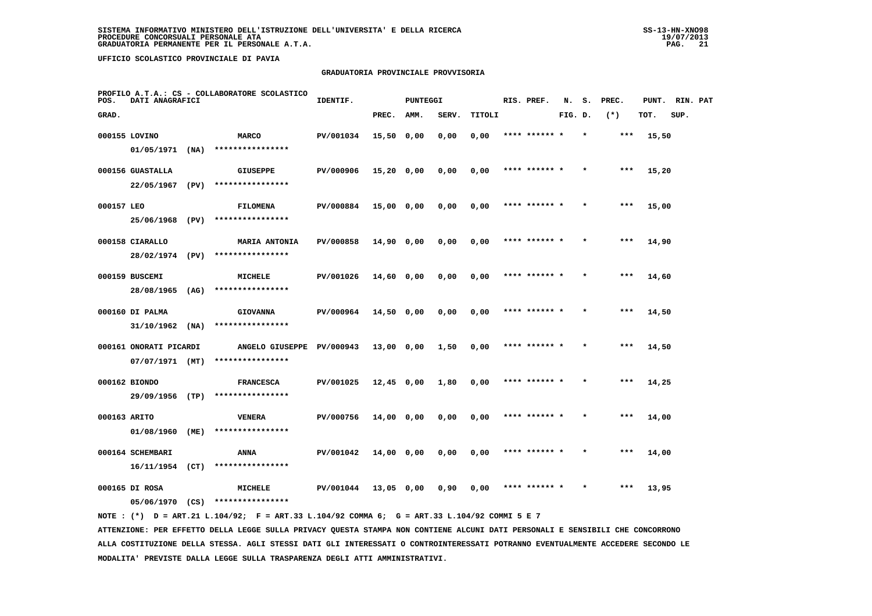## **GRADUATORIA PROVINCIALE PROVVISORIA**

| POS.         | DATI ANAGRAFICI                       |      | PROFILO A.T.A.: CS - COLLABORATORE SCOLASTICO | IDENTIF.  |              | <b>PUNTEGGI</b> |       |        | RIS. PREF.    | N.      | s. | PREC. | PUNT. | RIN. PAT |  |
|--------------|---------------------------------------|------|-----------------------------------------------|-----------|--------------|-----------------|-------|--------|---------------|---------|----|-------|-------|----------|--|
| GRAD.        |                                       |      |                                               |           | PREC.        | AMM.            | SERV. | TITOLI |               | FIG. D. |    | $(*)$ | TOT.  | SUP.     |  |
|              | 000155 LOVINO                         |      | MARCO<br>****************                     | PV/001034 | 15,50 0,00   |                 | 0,00  | 0,00   | **** ****** * |         |    | ***   | 15,50 |          |  |
|              | $01/05/1971$ (NA)<br>000156 GUASTALLA |      | <b>GIUSEPPE</b>                               | PV/000906 | $15,20$ 0,00 |                 | 0,00  | 0,00   | **** ****** * |         |    | $***$ | 15,20 |          |  |
|              | 22/05/1967                            | (PV) | ****************                              |           |              |                 |       |        |               |         |    |       |       |          |  |
| 000157 LEO   |                                       |      | <b>FILOMENA</b>                               | PV/000884 | 15,00 0,00   |                 | 0,00  | 0,00   | **** ****** * |         |    | $***$ | 15,00 |          |  |
|              | 25/06/1968 (PV)                       |      | ****************                              |           |              |                 |       |        |               |         |    |       |       |          |  |
|              | 000158 CIARALLO                       |      | <b>MARIA ANTONIA</b>                          | PV/000858 | $14,90$ 0,00 |                 | 0,00  | 0,00   | **** ****** * |         |    | ***   | 14,90 |          |  |
|              | 28/02/1974 (PV)                       |      | ****************                              |           |              |                 |       |        |               |         |    |       |       |          |  |
|              | 000159 BUSCEMI<br>28/08/1965 (AG)     |      | <b>MICHELE</b><br>****************            | PV/001026 | 14,60 0,00   |                 | 0,00  | 0,00   | **** ****** * |         |    | ***   | 14,60 |          |  |
|              | 000160 DI PALMA                       |      | <b>GIOVANNA</b>                               | PV/000964 | $14,50$ 0,00 |                 | 0,00  | 0,00   | **** ****** * |         |    | $***$ | 14,50 |          |  |
|              | $31/10/1962$ (NA)                     |      | ****************                              |           |              |                 |       |        |               |         |    |       |       |          |  |
|              | 000161 ONORATI PICARDI                |      | ANGELO GIUSEPPE PV/000943 13,00 0,00          |           |              |                 | 1,50  | 0,00   | **** ****** * |         |    | $***$ | 14,50 |          |  |
|              | $07/07/1971$ (MT)                     |      | ****************                              |           |              |                 |       |        |               |         |    |       |       |          |  |
|              | 000162 BIONDO                         |      | <b>FRANCESCA</b>                              | PV/001025 | $12,45$ 0,00 |                 | 1,80  | 0,00   | **** ******   |         |    | ***   | 14,25 |          |  |
|              | 29/09/1956 (TP)                       |      | ****************                              |           |              |                 |       |        |               |         |    |       |       |          |  |
| 000163 ARITO |                                       |      | <b>VENERA</b><br>****************             | PV/000756 | 14,00 0,00   |                 | 0,00  | 0,00   | **** ****** * |         |    | ***   | 14,00 |          |  |
|              | 01/08/1960                            | (ME) |                                               |           |              |                 |       |        |               |         |    |       |       |          |  |
|              | 000164 SCHEMBARI<br>$16/11/1954$ (CT) |      | ANNA<br>****************                      | PV/001042 | $14,00$ 0,00 |                 | 0,00  | 0,00   | **** ****** * |         |    | $***$ | 14,00 |          |  |
|              | 000165 DI ROSA                        |      | MICHELE                                       | PV/001044 | 13,05 0,00   |                 | 0,90  | 0,00   | **** ****** * |         |    | ***   | 13,95 |          |  |
|              | 05/06/1970 (CS)                       |      | ****************                              |           |              |                 |       |        |               |         |    |       |       |          |  |
|              |                                       |      |                                               |           |              |                 |       |        |               |         |    |       |       |          |  |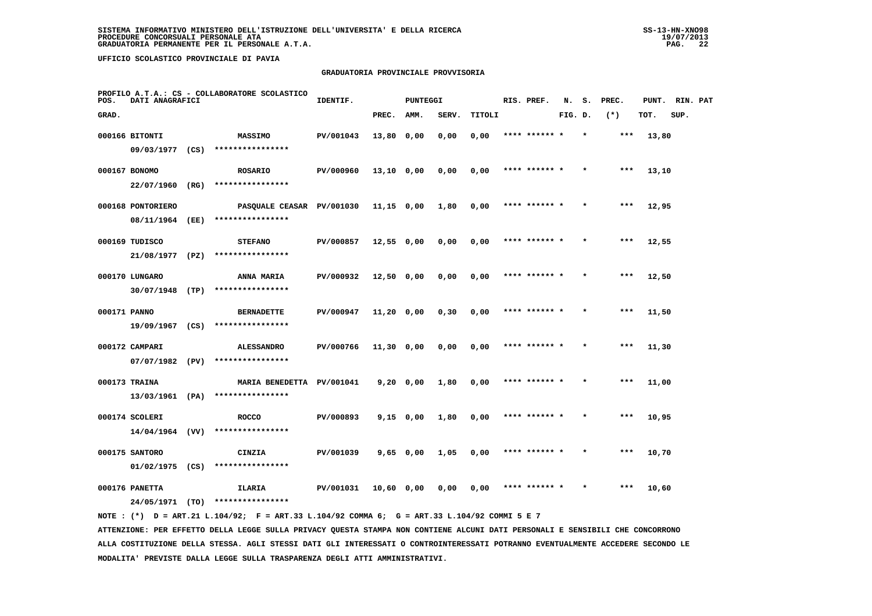## **GRADUATORIA PROVINCIALE PROVVISORIA**

| POS.         | DATI ANAGRAFICI                     | PROFILO A.T.A.: CS - COLLABORATORE SCOLASTICO | IDENTIF.  |              | <b>PUNTEGGI</b> |       |        | RIS. PREF.    | N.      | s.      | PREC. | PUNT. | RIN. PAT |  |
|--------------|-------------------------------------|-----------------------------------------------|-----------|--------------|-----------------|-------|--------|---------------|---------|---------|-------|-------|----------|--|
| GRAD.        |                                     |                                               |           | PREC.        | AMM.            | SERV. | TITOLI |               | FIG. D. |         | $(*)$ | TOT.  | SUP.     |  |
|              | 000166 BITONTI                      | <b>MASSIMO</b>                                | PV/001043 | 13,80 0,00   |                 | 0,00  | 0,00   | **** ****** * |         | $\star$ | ***   | 13,80 |          |  |
|              | 09/03/1977 (CS)                     | ****************                              |           |              |                 |       |        |               |         |         |       |       |          |  |
|              | 000167 BONOMO                       | <b>ROSARIO</b>                                | PV/000960 | 13,10 0,00   |                 | 0,00  | 0,00   | **** ****** * |         |         | ***   | 13,10 |          |  |
|              | 22/07/1960 (RG)                     | ****************                              |           |              |                 |       |        |               |         |         |       |       |          |  |
|              | 000168 PONTORIERO                   | PASOUALE CEASAR PV/001030                     |           | 11,15 0,00   |                 | 1,80  | 0,00   | **** ****** * |         |         | ***   | 12,95 |          |  |
|              | 08/11/1964 (EE)                     | ****************                              |           |              |                 |       |        |               |         |         |       |       |          |  |
|              | 000169 TUDISCO                      | <b>STEFANO</b>                                | PV/000857 | $12,55$ 0,00 |                 | 0,00  | 0,00   | **** ****** * |         |         | ***   | 12,55 |          |  |
|              | 21/08/1977 (PZ)                     | ****************                              |           |              |                 |       |        |               |         |         |       |       |          |  |
|              | 000170 LUNGARO                      | <b>ANNA MARIA</b>                             | PV/000932 | $12,50$ 0,00 |                 | 0,00  | 0,00   | **** ****** * |         |         | $***$ | 12,50 |          |  |
|              | 30/07/1948 (TP)                     | ****************                              |           |              |                 |       |        |               |         |         |       |       |          |  |
| 000171 PANNO |                                     | <b>BERNADETTE</b>                             | PV/000947 | $11,20$ 0,00 |                 | 0, 30 | 0,00   | **** ****** * |         |         | $***$ | 11,50 |          |  |
|              | 19/09/1967 (CS)                     | ****************                              |           |              |                 |       |        |               |         |         |       |       |          |  |
|              | 000172 CAMPARI                      | <b>ALESSANDRO</b><br>****************         | PV/000766 | $11,30$ 0,00 |                 | 0,00  | 0,00   | **** ****** * |         |         | ***   | 11,30 |          |  |
|              | $07/07/1982$ (PV)                   |                                               |           |              |                 |       |        |               |         |         |       |       |          |  |
|              | 000173 TRAINA<br>13/03/1961 (PA)    | MARIA BENEDETTA PV/001041<br>**************** |           | 9,20 0,00    |                 | 1,80  | 0,00   | **** ****** * |         |         | $***$ | 11,00 |          |  |
|              |                                     |                                               |           |              |                 |       |        |               |         |         |       |       |          |  |
|              | 000174 SCOLERI<br>$14/04/1964$ (VV) | <b>ROCCO</b><br>****************              | PV/000893 |              | $9,15$ 0,00     | 1,80  | 0,00   |               |         |         | ***   | 10,95 |          |  |
|              |                                     |                                               |           |              |                 |       |        |               |         |         |       |       |          |  |
|              | 000175 SANTORO<br>$01/02/1975$ (CS) | CINZIA<br>****************                    | PV/001039 | $9,65$ 0,00  |                 | 1,05  | 0,00   | **** ****** * |         |         | $***$ | 10,70 |          |  |
|              |                                     |                                               |           |              |                 |       |        | **** ****** * |         |         | ***   |       |          |  |
|              | 000176 PANETTA<br>24/05/1971 (TO)   | ILARIA<br>****************                    | PV/001031 | 10,60 0,00   |                 | 0,00  | 0,00   |               |         |         |       | 10,60 |          |  |
|              |                                     |                                               |           |              |                 |       |        |               |         |         |       |       |          |  |